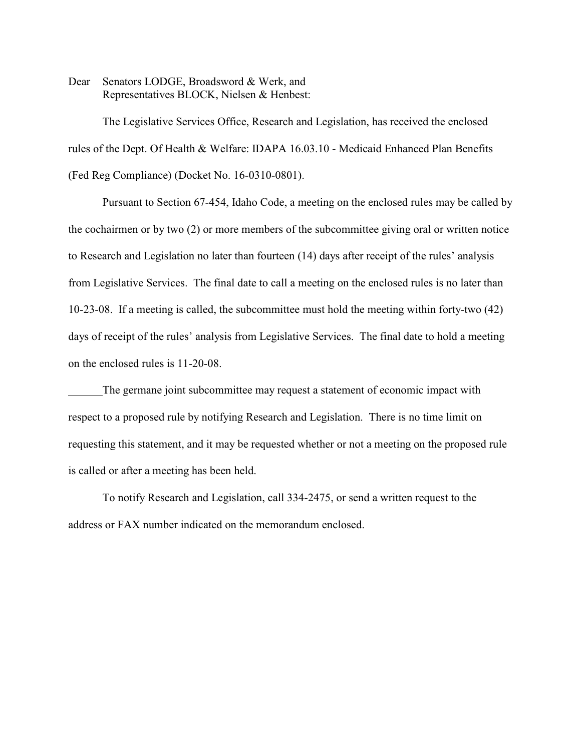Dear Senators LODGE, Broadsword & Werk, and Representatives BLOCK, Nielsen & Henbest:

The Legislative Services Office, Research and Legislation, has received the enclosed rules of the Dept. Of Health & Welfare: IDAPA 16.03.10 - Medicaid Enhanced Plan Benefits (Fed Reg Compliance) (Docket No. 16-0310-0801).

Pursuant to Section 67-454, Idaho Code, a meeting on the enclosed rules may be called by the cochairmen or by two (2) or more members of the subcommittee giving oral or written notice to Research and Legislation no later than fourteen (14) days after receipt of the rules' analysis from Legislative Services. The final date to call a meeting on the enclosed rules is no later than 10-23-08. If a meeting is called, the subcommittee must hold the meeting within forty-two (42) days of receipt of the rules' analysis from Legislative Services. The final date to hold a meeting on the enclosed rules is 11-20-08.

The germane joint subcommittee may request a statement of economic impact with respect to a proposed rule by notifying Research and Legislation. There is no time limit on requesting this statement, and it may be requested whether or not a meeting on the proposed rule is called or after a meeting has been held.

To notify Research and Legislation, call 334-2475, or send a written request to the address or FAX number indicated on the memorandum enclosed.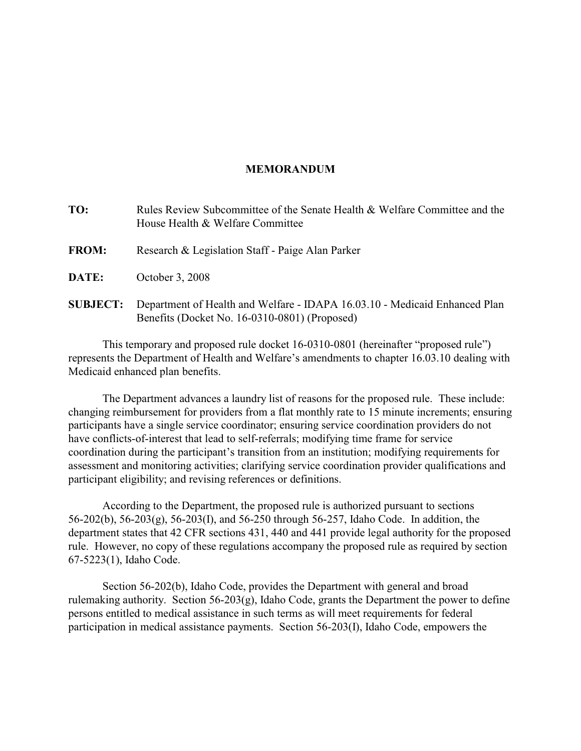# **MEMORANDUM**

| TO:             | Rules Review Subcommittee of the Senate Health & Welfare Committee and the<br>House Health & Welfare Committee              |
|-----------------|-----------------------------------------------------------------------------------------------------------------------------|
| <b>FROM:</b>    | Research & Legislation Staff - Paige Alan Parker                                                                            |
| DATE:           | October 3, 2008                                                                                                             |
| <b>SUBJECT:</b> | Department of Health and Welfare - IDAPA 16.03.10 - Medicaid Enhanced Plan<br>Benefits (Docket No. 16-0310-0801) (Proposed) |

This temporary and proposed rule docket 16-0310-0801 (hereinafter "proposed rule") represents the Department of Health and Welfare's amendments to chapter 16.03.10 dealing with Medicaid enhanced plan benefits.

The Department advances a laundry list of reasons for the proposed rule. These include: changing reimbursement for providers from a flat monthly rate to 15 minute increments; ensuring participants have a single service coordinator; ensuring service coordination providers do not have conflicts-of-interest that lead to self-referrals; modifying time frame for service coordination during the participant's transition from an institution; modifying requirements for assessment and monitoring activities; clarifying service coordination provider qualifications and participant eligibility; and revising references or definitions.

According to the Department, the proposed rule is authorized pursuant to sections 56-202(b), 56-203(g), 56-203(I), and 56-250 through 56-257, Idaho Code. In addition, the department states that 42 CFR sections 431, 440 and 441 provide legal authority for the proposed rule. However, no copy of these regulations accompany the proposed rule as required by section 67-5223(1), Idaho Code.

Section 56-202(b), Idaho Code, provides the Department with general and broad rulemaking authority. Section 56-203(g), Idaho Code, grants the Department the power to define persons entitled to medical assistance in such terms as will meet requirements for federal participation in medical assistance payments. Section 56-203(I), Idaho Code, empowers the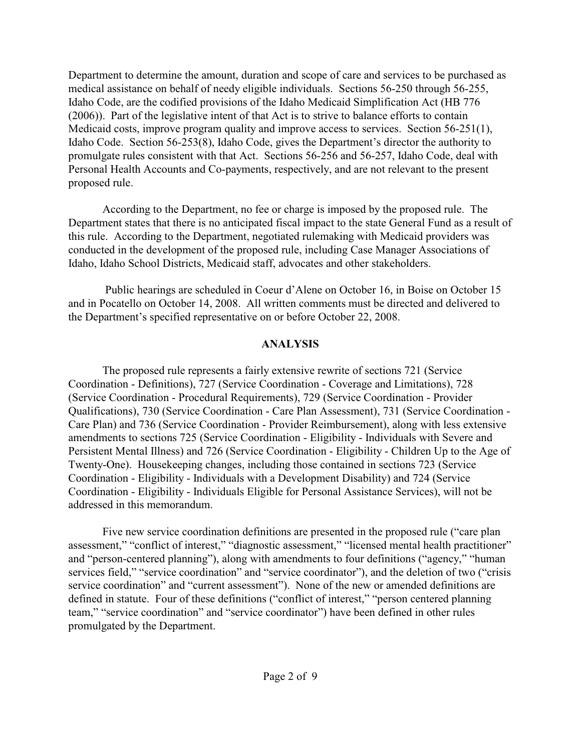Department to determine the amount, duration and scope of care and services to be purchased as medical assistance on behalf of needy eligible individuals. Sections 56-250 through 56-255, Idaho Code, are the codified provisions of the Idaho Medicaid Simplification Act (HB 776 (2006)). Part of the legislative intent of that Act is to strive to balance efforts to contain Medicaid costs, improve program quality and improve access to services. Section 56-251(1), Idaho Code. Section 56-253(8), Idaho Code, gives the Department's director the authority to promulgate rules consistent with that Act. Sections 56-256 and 56-257, Idaho Code, deal with Personal Health Accounts and Co-payments, respectively, and are not relevant to the present proposed rule.

According to the Department, no fee or charge is imposed by the proposed rule. The Department states that there is no anticipated fiscal impact to the state General Fund as a result of this rule. According to the Department, negotiated rulemaking with Medicaid providers was conducted in the development of the proposed rule, including Case Manager Associations of Idaho, Idaho School Districts, Medicaid staff, advocates and other stakeholders.

 Public hearings are scheduled in Coeur d'Alene on October 16, in Boise on October 15 and in Pocatello on October 14, 2008. All written comments must be directed and delivered to the Department's specified representative on or before October 22, 2008.

# **ANALYSIS**

The proposed rule represents a fairly extensive rewrite of sections 721 (Service Coordination - Definitions), 727 (Service Coordination - Coverage and Limitations), 728 (Service Coordination - Procedural Requirements), 729 (Service Coordination - Provider Qualifications), 730 (Service Coordination - Care Plan Assessment), 731 (Service Coordination - Care Plan) and 736 (Service Coordination - Provider Reimbursement), along with less extensive amendments to sections 725 (Service Coordination - Eligibility - Individuals with Severe and Persistent Mental Illness) and 726 (Service Coordination - Eligibility - Children Up to the Age of Twenty-One). Housekeeping changes, including those contained in sections 723 (Service Coordination - Eligibility - Individuals with a Development Disability) and 724 (Service Coordination - Eligibility - Individuals Eligible for Personal Assistance Services), will not be addressed in this memorandum.

Five new service coordination definitions are presented in the proposed rule ("care plan assessment," "conflict of interest," "diagnostic assessment," "licensed mental health practitioner" and "person-centered planning"), along with amendments to four definitions ("agency," "human services field," "service coordination" and "service coordinator"), and the deletion of two ("crisis service coordination" and "current assessment"). None of the new or amended definitions are defined in statute. Four of these definitions ("conflict of interest," "person centered planning team," "service coordination" and "service coordinator") have been defined in other rules promulgated by the Department.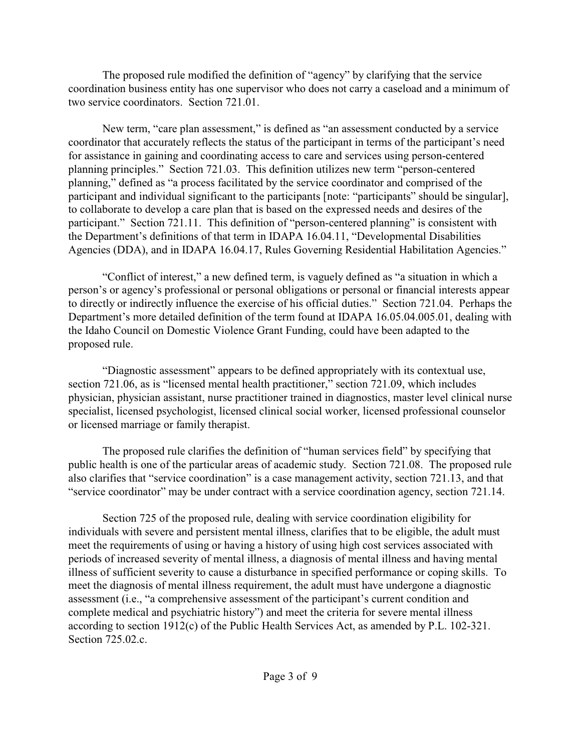The proposed rule modified the definition of "agency" by clarifying that the service coordination business entity has one supervisor who does not carry a caseload and a minimum of two service coordinators. Section 721.01.

New term, "care plan assessment," is defined as "an assessment conducted by a service coordinator that accurately reflects the status of the participant in terms of the participant's need for assistance in gaining and coordinating access to care and services using person-centered planning principles." Section 721.03. This definition utilizes new term "person-centered planning," defined as "a process facilitated by the service coordinator and comprised of the participant and individual significant to the participants [note: "participants" should be singular], to collaborate to develop a care plan that is based on the expressed needs and desires of the participant." Section 721.11. This definition of "person-centered planning" is consistent with the Department's definitions of that term in IDAPA 16.04.11, "Developmental Disabilities Agencies (DDA), and in IDAPA 16.04.17, Rules Governing Residential Habilitation Agencies."

"Conflict of interest," a new defined term, is vaguely defined as "a situation in which a person's or agency's professional or personal obligations or personal or financial interests appear to directly or indirectly influence the exercise of his official duties." Section 721.04. Perhaps the Department's more detailed definition of the term found at IDAPA 16.05.04.005.01, dealing with the Idaho Council on Domestic Violence Grant Funding, could have been adapted to the proposed rule.

"Diagnostic assessment" appears to be defined appropriately with its contextual use, section 721.06, as is "licensed mental health practitioner," section 721.09, which includes physician, physician assistant, nurse practitioner trained in diagnostics, master level clinical nurse specialist, licensed psychologist, licensed clinical social worker, licensed professional counselor or licensed marriage or family therapist.

The proposed rule clarifies the definition of "human services field" by specifying that public health is one of the particular areas of academic study. Section 721.08. The proposed rule also clarifies that "service coordination" is a case management activity, section 721.13, and that "service coordinator" may be under contract with a service coordination agency, section 721.14.

Section 725 of the proposed rule, dealing with service coordination eligibility for individuals with severe and persistent mental illness, clarifies that to be eligible, the adult must meet the requirements of using or having a history of using high cost services associated with periods of increased severity of mental illness, a diagnosis of mental illness and having mental illness of sufficient severity to cause a disturbance in specified performance or coping skills. To meet the diagnosis of mental illness requirement, the adult must have undergone a diagnostic assessment (i.e., "a comprehensive assessment of the participant's current condition and complete medical and psychiatric history") and meet the criteria for severe mental illness according to section 1912(c) of the Public Health Services Act, as amended by P.L. 102-321. Section 725.02.c.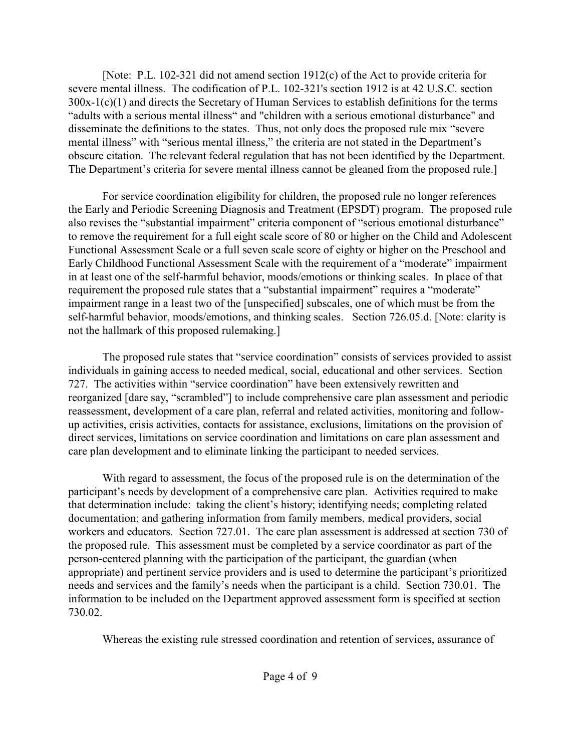[Note: P.L. 102-321 did not amend section 1912(c) of the Act to provide criteria for severe mental illness. The codification of P.L. 102-321's section 1912 is at 42 U.S.C. section 300x-1(c)(1) and directs the Secretary of Human Services to establish definitions for the terms "adults with a serious mental illness" and "children with a serious emotional disturbance" and disseminate the definitions to the states. Thus, not only does the proposed rule mix "severe mental illness" with "serious mental illness," the criteria are not stated in the Department's obscure citation. The relevant federal regulation that has not been identified by the Department. The Department's criteria for severe mental illness cannot be gleaned from the proposed rule.]

For service coordination eligibility for children, the proposed rule no longer references the Early and Periodic Screening Diagnosis and Treatment (EPSDT) program. The proposed rule also revises the "substantial impairment" criteria component of "serious emotional disturbance" to remove the requirement for a full eight scale score of 80 or higher on the Child and Adolescent Functional Assessment Scale or a full seven scale score of eighty or higher on the Preschool and Early Childhood Functional Assessment Scale with the requirement of a "moderate" impairment in at least one of the self-harmful behavior, moods/emotions or thinking scales. In place of that requirement the proposed rule states that a "substantial impairment" requires a "moderate" impairment range in a least two of the [unspecified] subscales, one of which must be from the self-harmful behavior, moods/emotions, and thinking scales. Section 726.05.d. [Note: clarity is not the hallmark of this proposed rulemaking.]

The proposed rule states that "service coordination" consists of services provided to assist individuals in gaining access to needed medical, social, educational and other services. Section 727. The activities within "service coordination" have been extensively rewritten and reorganized [dare say, "scrambled"] to include comprehensive care plan assessment and periodic reassessment, development of a care plan, referral and related activities, monitoring and followup activities, crisis activities, contacts for assistance, exclusions, limitations on the provision of direct services, limitations on service coordination and limitations on care plan assessment and care plan development and to eliminate linking the participant to needed services.

With regard to assessment, the focus of the proposed rule is on the determination of the participant's needs by development of a comprehensive care plan. Activities required to make that determination include: taking the client's history; identifying needs; completing related documentation; and gathering information from family members, medical providers, social workers and educators. Section 727.01. The care plan assessment is addressed at section 730 of the proposed rule. This assessment must be completed by a service coordinator as part of the person-centered planning with the participation of the participant, the guardian (when appropriate) and pertinent service providers and is used to determine the participant's prioritized needs and services and the family's needs when the participant is a child. Section 730.01. The information to be included on the Department approved assessment form is specified at section 730.02.

Whereas the existing rule stressed coordination and retention of services, assurance of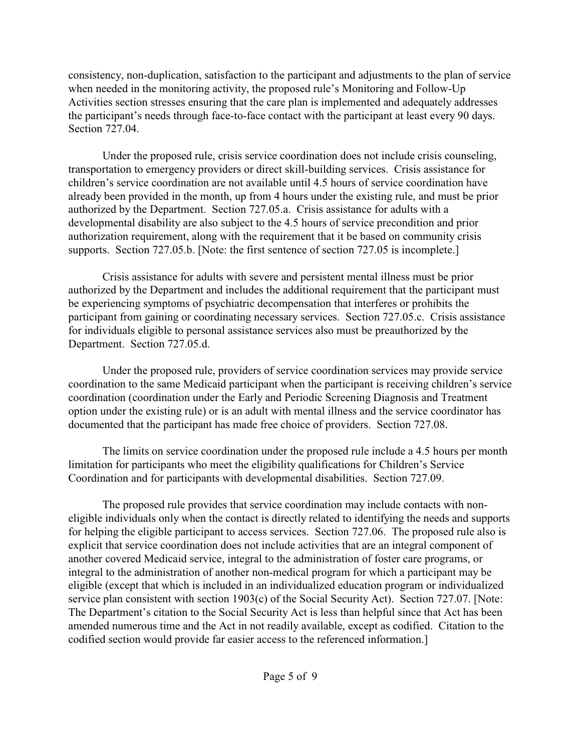consistency, non-duplication, satisfaction to the participant and adjustments to the plan of service when needed in the monitoring activity, the proposed rule's Monitoring and Follow-Up Activities section stresses ensuring that the care plan is implemented and adequately addresses the participant's needs through face-to-face contact with the participant at least every 90 days. Section 727.04.

Under the proposed rule, crisis service coordination does not include crisis counseling, transportation to emergency providers or direct skill-building services. Crisis assistance for children's service coordination are not available until 4.5 hours of service coordination have already been provided in the month, up from 4 hours under the existing rule, and must be prior authorized by the Department. Section 727.05.a. Crisis assistance for adults with a developmental disability are also subject to the 4.5 hours of service precondition and prior authorization requirement, along with the requirement that it be based on community crisis supports. Section 727.05.b. [Note: the first sentence of section 727.05 is incomplete.]

Crisis assistance for adults with severe and persistent mental illness must be prior authorized by the Department and includes the additional requirement that the participant must be experiencing symptoms of psychiatric decompensation that interferes or prohibits the participant from gaining or coordinating necessary services. Section 727.05.c. Crisis assistance for individuals eligible to personal assistance services also must be preauthorized by the Department. Section 727.05.d.

Under the proposed rule, providers of service coordination services may provide service coordination to the same Medicaid participant when the participant is receiving children's service coordination (coordination under the Early and Periodic Screening Diagnosis and Treatment option under the existing rule) or is an adult with mental illness and the service coordinator has documented that the participant has made free choice of providers. Section 727.08.

The limits on service coordination under the proposed rule include a 4.5 hours per month limitation for participants who meet the eligibility qualifications for Children's Service Coordination and for participants with developmental disabilities. Section 727.09.

The proposed rule provides that service coordination may include contacts with noneligible individuals only when the contact is directly related to identifying the needs and supports for helping the eligible participant to access services. Section 727.06. The proposed rule also is explicit that service coordination does not include activities that are an integral component of another covered Medicaid service, integral to the administration of foster care programs, or integral to the administration of another non-medical program for which a participant may be eligible (except that which is included in an individualized education program or individualized service plan consistent with section 1903(c) of the Social Security Act). Section 727.07. [Note: The Department's citation to the Social Security Act is less than helpful since that Act has been amended numerous time and the Act in not readily available, except as codified. Citation to the codified section would provide far easier access to the referenced information.]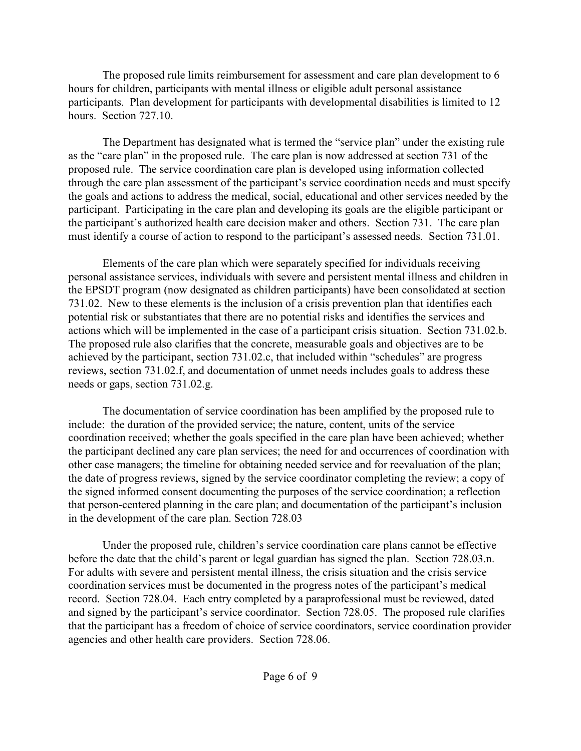The proposed rule limits reimbursement for assessment and care plan development to 6 hours for children, participants with mental illness or eligible adult personal assistance participants. Plan development for participants with developmental disabilities is limited to 12 hours. Section 727.10.

The Department has designated what is termed the "service plan" under the existing rule as the "care plan" in the proposed rule. The care plan is now addressed at section 731 of the proposed rule. The service coordination care plan is developed using information collected through the care plan assessment of the participant's service coordination needs and must specify the goals and actions to address the medical, social, educational and other services needed by the participant. Participating in the care plan and developing its goals are the eligible participant or the participant's authorized health care decision maker and others. Section 731. The care plan must identify a course of action to respond to the participant's assessed needs. Section 731.01.

Elements of the care plan which were separately specified for individuals receiving personal assistance services, individuals with severe and persistent mental illness and children in the EPSDT program (now designated as children participants) have been consolidated at section 731.02. New to these elements is the inclusion of a crisis prevention plan that identifies each potential risk or substantiates that there are no potential risks and identifies the services and actions which will be implemented in the case of a participant crisis situation. Section 731.02.b. The proposed rule also clarifies that the concrete, measurable goals and objectives are to be achieved by the participant, section 731.02.c, that included within "schedules" are progress reviews, section 731.02.f, and documentation of unmet needs includes goals to address these needs or gaps, section 731.02.g.

The documentation of service coordination has been amplified by the proposed rule to include: the duration of the provided service; the nature, content, units of the service coordination received; whether the goals specified in the care plan have been achieved; whether the participant declined any care plan services; the need for and occurrences of coordination with other case managers; the timeline for obtaining needed service and for reevaluation of the plan; the date of progress reviews, signed by the service coordinator completing the review; a copy of the signed informed consent documenting the purposes of the service coordination; a reflection that person-centered planning in the care plan; and documentation of the participant's inclusion in the development of the care plan. Section 728.03

Under the proposed rule, children's service coordination care plans cannot be effective before the date that the child's parent or legal guardian has signed the plan. Section 728.03.n. For adults with severe and persistent mental illness, the crisis situation and the crisis service coordination services must be documented in the progress notes of the participant's medical record. Section 728.04. Each entry completed by a paraprofessional must be reviewed, dated and signed by the participant's service coordinator. Section 728.05. The proposed rule clarifies that the participant has a freedom of choice of service coordinators, service coordination provider agencies and other health care providers. Section 728.06.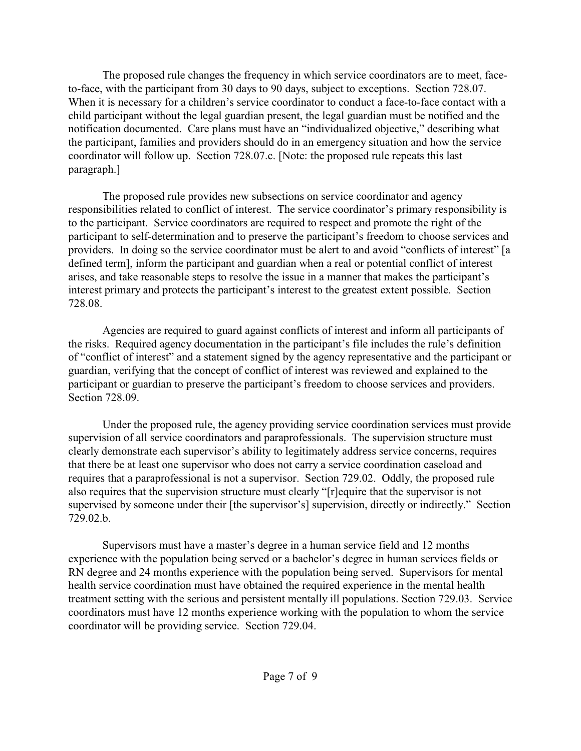The proposed rule changes the frequency in which service coordinators are to meet, faceto-face, with the participant from 30 days to 90 days, subject to exceptions. Section 728.07. When it is necessary for a children's service coordinator to conduct a face-to-face contact with a child participant without the legal guardian present, the legal guardian must be notified and the notification documented. Care plans must have an "individualized objective," describing what the participant, families and providers should do in an emergency situation and how the service coordinator will follow up. Section 728.07.c. [Note: the proposed rule repeats this last paragraph.]

The proposed rule provides new subsections on service coordinator and agency responsibilities related to conflict of interest. The service coordinator's primary responsibility is to the participant. Service coordinators are required to respect and promote the right of the participant to self-determination and to preserve the participant's freedom to choose services and providers. In doing so the service coordinator must be alert to and avoid "conflicts of interest" [a defined term], inform the participant and guardian when a real or potential conflict of interest arises, and take reasonable steps to resolve the issue in a manner that makes the participant's interest primary and protects the participant's interest to the greatest extent possible. Section 728.08.

Agencies are required to guard against conflicts of interest and inform all participants of the risks. Required agency documentation in the participant's file includes the rule's definition of "conflict of interest" and a statement signed by the agency representative and the participant or guardian, verifying that the concept of conflict of interest was reviewed and explained to the participant or guardian to preserve the participant's freedom to choose services and providers. Section 728.09.

Under the proposed rule, the agency providing service coordination services must provide supervision of all service coordinators and paraprofessionals. The supervision structure must clearly demonstrate each supervisor's ability to legitimately address service concerns, requires that there be at least one supervisor who does not carry a service coordination caseload and requires that a paraprofessional is not a supervisor. Section 729.02. Oddly, the proposed rule also requires that the supervision structure must clearly "[r]equire that the supervisor is not supervised by someone under their [the supervisor's] supervision, directly or indirectly." Section 729.02.b.

Supervisors must have a master's degree in a human service field and 12 months experience with the population being served or a bachelor's degree in human services fields or RN degree and 24 months experience with the population being served. Supervisors for mental health service coordination must have obtained the required experience in the mental health treatment setting with the serious and persistent mentally ill populations. Section 729.03. Service coordinators must have 12 months experience working with the population to whom the service coordinator will be providing service. Section 729.04.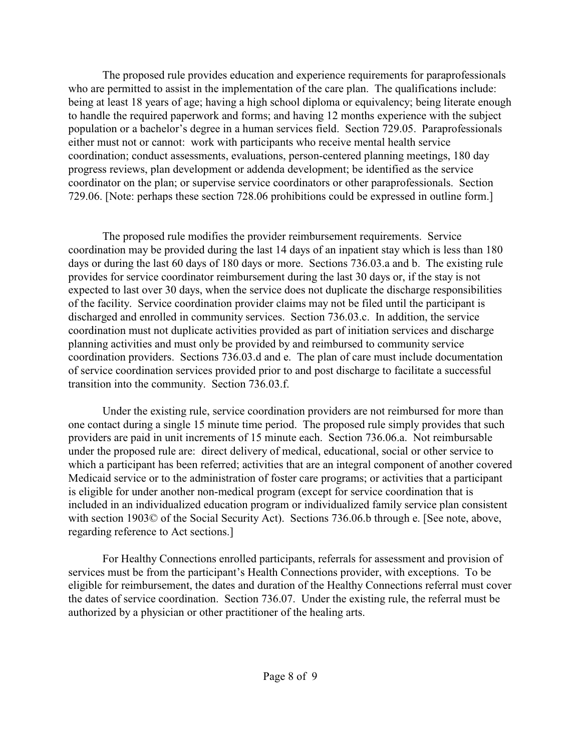The proposed rule provides education and experience requirements for paraprofessionals who are permitted to assist in the implementation of the care plan. The qualifications include: being at least 18 years of age; having a high school diploma or equivalency; being literate enough to handle the required paperwork and forms; and having 12 months experience with the subject population or a bachelor's degree in a human services field. Section 729.05. Paraprofessionals either must not or cannot: work with participants who receive mental health service coordination; conduct assessments, evaluations, person-centered planning meetings, 180 day progress reviews, plan development or addenda development; be identified as the service coordinator on the plan; or supervise service coordinators or other paraprofessionals. Section 729.06. [Note: perhaps these section 728.06 prohibitions could be expressed in outline form.]

The proposed rule modifies the provider reimbursement requirements. Service coordination may be provided during the last 14 days of an inpatient stay which is less than 180 days or during the last 60 days of 180 days or more. Sections 736.03.a and b. The existing rule provides for service coordinator reimbursement during the last 30 days or, if the stay is not expected to last over 30 days, when the service does not duplicate the discharge responsibilities of the facility. Service coordination provider claims may not be filed until the participant is discharged and enrolled in community services. Section 736.03.c. In addition, the service coordination must not duplicate activities provided as part of initiation services and discharge planning activities and must only be provided by and reimbursed to community service coordination providers. Sections 736.03.d and e. The plan of care must include documentation of service coordination services provided prior to and post discharge to facilitate a successful transition into the community. Section 736.03.f.

Under the existing rule, service coordination providers are not reimbursed for more than one contact during a single 15 minute time period. The proposed rule simply provides that such providers are paid in unit increments of 15 minute each. Section 736.06.a. Not reimbursable under the proposed rule are: direct delivery of medical, educational, social or other service to which a participant has been referred; activities that are an integral component of another covered Medicaid service or to the administration of foster care programs; or activities that a participant is eligible for under another non-medical program (except for service coordination that is included in an individualized education program or individualized family service plan consistent with section 1903© of the Social Security Act). Sections 736.06.b through e. [See note, above, regarding reference to Act sections.]

For Healthy Connections enrolled participants, referrals for assessment and provision of services must be from the participant's Health Connections provider, with exceptions. To be eligible for reimbursement, the dates and duration of the Healthy Connections referral must cover the dates of service coordination. Section 736.07. Under the existing rule, the referral must be authorized by a physician or other practitioner of the healing arts.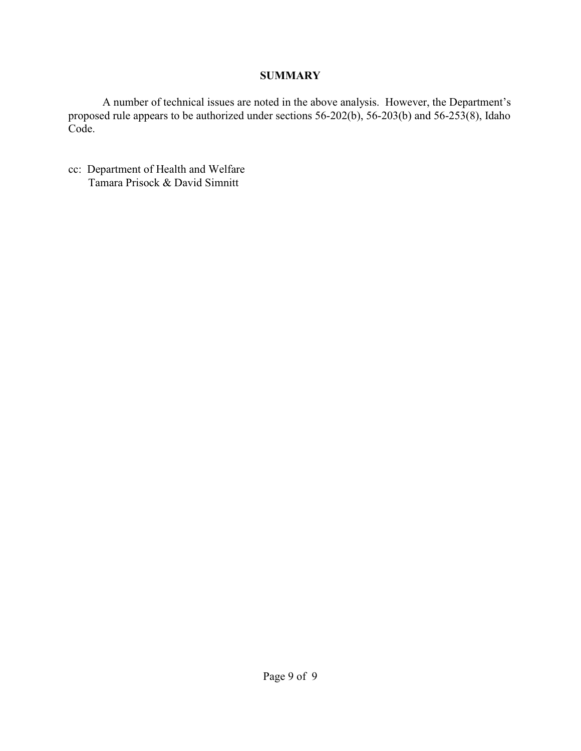# **SUMMARY**

A number of technical issues are noted in the above analysis. However, the Department's proposed rule appears to be authorized under sections 56-202(b), 56-203(b) and 56-253(8), Idaho Code.

cc: Department of Health and Welfare Tamara Prisock & David Simnitt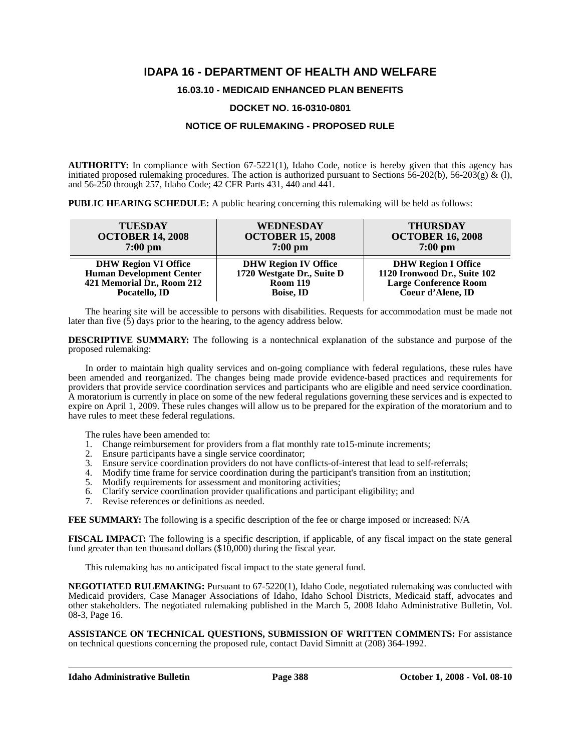# **IDAPA 16 - DEPARTMENT OF HEALTH AND WELFARE**

# **16.03.10 - MEDICAID ENHANCED PLAN BENEFITS**

# **DOCKET NO. 16-0310-0801**

# **NOTICE OF RULEMAKING - PROPOSED RULE**

**AUTHORITY:** In compliance with Section 67-5221(1), Idaho Code, notice is hereby given that this agency has initiated proposed rulemaking procedures. The action is authorized pursuant to Sections 56-202(b), 56-203(g) & (l), and 56-250 through 257, Idaho Code; 42 CFR Parts 431, 440 and 441.

**PUBLIC HEARING SCHEDULE:** A public hearing concerning this rulemaking will be held as follows:

| <b>TUESDAY</b>                  | WEDNESDAY                   | <b>THURSDAY</b>              |
|---------------------------------|-----------------------------|------------------------------|
| <b>OCTOBER 14, 2008</b>         | <b>OCTOBER 15, 2008</b>     | <b>OCTOBER 16, 2008</b>      |
| $7:00$ pm                       | $7:00 \text{ pm}$           | $7:00$ pm                    |
| <b>DHW Region VI Office</b>     | <b>DHW Region IV Office</b> | <b>DHW Region I Office</b>   |
| <b>Human Development Center</b> | 1720 Westgate Dr., Suite D  | 1120 Ironwood Dr., Suite 102 |
| 421 Memorial Dr., Room 212      | <b>Room 119</b>             | <b>Large Conference Room</b> |
| Pocatello, ID                   | <b>Boise, ID</b>            | Coeur d'Alene, ID            |

The hearing site will be accessible to persons with disabilities. Requests for accommodation must be made not later than five (5) days prior to the hearing, to the agency address below.

**DESCRIPTIVE SUMMARY:** The following is a nontechnical explanation of the substance and purpose of the proposed rulemaking:

In order to maintain high quality services and on-going compliance with federal regulations, these rules have been amended and reorganized. The changes being made provide evidence-based practices and requirements for providers that provide service coordination services and participants who are eligible and need service coordination. A moratorium is currently in place on some of the new federal regulations governing these services and is expected to expire on April 1, 2009. These rules changes will allow us to be prepared for the expiration of the moratorium and to have rules to meet these federal regulations.

The rules have been amended to:

- 1. Change reimbursement for providers from a flat monthly rate to15-minute increments;
- 2. Ensure participants have a single service coordinator;
- 3. Ensure service coordination providers do not have conflicts-of-interest that lead to self-referrals;
- 4. Modify time frame for service coordination during the participant's transition from an institution;
- 5. Modify requirements for assessment and monitoring activities;
- 6. Clarify service coordination provider qualifications and participant eligibility; and
- 7. Revise references or definitions as needed.

**FEE SUMMARY:** The following is a specific description of the fee or charge imposed or increased: N/A

**FISCAL IMPACT:** The following is a specific description, if applicable, of any fiscal impact on the state general fund greater than ten thousand dollars  $(\$10,000)$  during the fiscal year.

This rulemaking has no anticipated fiscal impact to the state general fund.

**[NEGOTIATED RULEMAKING:](http://adm.idaho.gov/adminrules/bulletin/bul/08mar.pdf#P.16)** Pursuant to 67-5220(1), Idaho Code, negotiated rulemaking was conducted with Medicaid providers, Case Manager Associations of Idaho, Idaho School Districts, Medicaid staff, advocates and other stakeholders. The negotiated rulemaking published in the March 5, 2008 Idaho Administrative Bulletin, Vol. 08-3, Page 16.

**ASSISTANCE ON TECHNICAL QUESTIONS, SUBMISSION OF WRITTEN COMMENTS:** For assistance on technical questions concerning the proposed rule, contact David Simnitt at (208) 364-1992.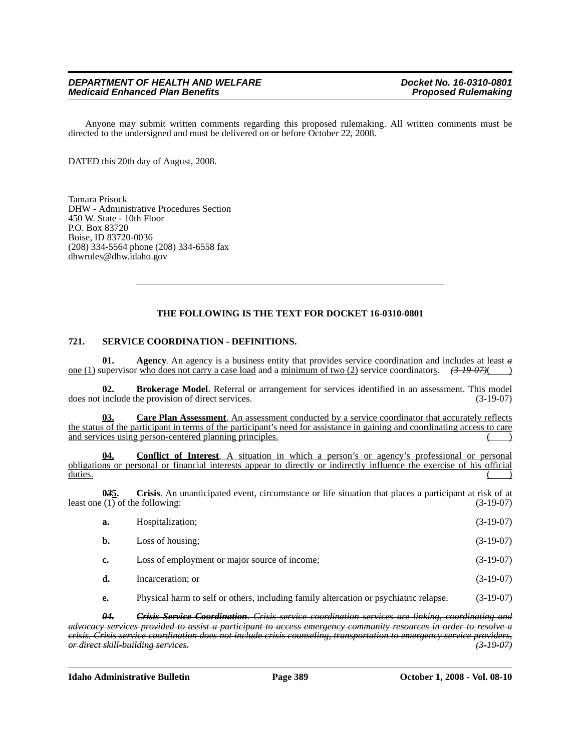Anyone may submit written comments regarding this proposed rulemaking. All written comments must be directed to the undersigned and must be delivered on or before October 22, 2008.

DATED this 20th day of August, 2008.

Tamara Prisock DHW - Administrative Procedures Section 450 W. State - 10th Floor P.O. Box 83720 Boise, ID 83720-0036 (208) 334-5564 phone (208) 334-6558 fax <dhwrules@dhw.idaho.gov>

# **THE FOLLOWING IS THE TEXT FOR DOCKET 16-0310-0801**

### **721. SERVICE COORDINATION - DEFINITIONS.**

**01. Agency**. An agency is a business entity that provides service coordination and includes at least *a* one (1) supervisor who does not carry a case load and a minimum of two (2) service coordinators. *(3-19-07)*( )

**02. Brokerage Model**. Referral or arrangement for services identified in an assessment. This model include the provision of direct services. (3-19-07) does not include the provision of direct services.

**03. Care Plan Assessment**. An assessment conducted by a service coordinator that accurately reflects the status of the participant in terms of the participant's need for assistance in gaining and coordinating access to care and services using person-centered planning principles.

**04. Conflict of Interest**. A situation in which a person's or agency's professional or personal obligations or personal or financial interests appear to directly or indirectly influence the exercise of his official duties. ( ) and the contract of the contract of the contract of the contract of the contract of the contract of the contract of the contract of the contract of the contract of the contract of the contract of the contract o

**0***3***5. Crisis**. An unanticipated event, circumstance or life situation that places a participant at risk of at least one (1) of the following: (3-19-07)

| a.          | Hospitalization;                              | $(3-19-07)$ |
|-------------|-----------------------------------------------|-------------|
| b.          | Loss of housing;                              | $(3-19-07)$ |
| $c_{\cdot}$ | Loss of employment or major source of income; | $(3-19-07)$ |
| d.          | Incarceration; or                             | $(3-19-07)$ |
|             |                                               |             |

**e.** Physical harm to self or others, including family altercation or psychiatric relapse. (3-19-07)

*04. Crisis Service Coordination. Crisis service coordination services are linking, coordinating and advocacy services provided to assist a participant to access emergency community resources in order to resolve a crisis. Crisis service coordination does not include crisis counseling, transportation to emergency service providers, or direct skill-building services. (3-19-07)*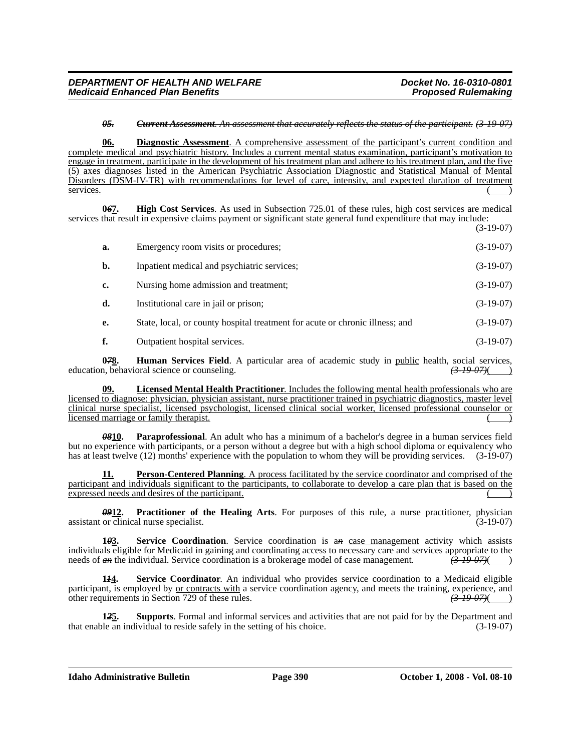#### *05. Current Assessment. An assessment that accurately reflects the status of the participant. (3-19-07)*

**06. Diagnostic Assessment**. A comprehensive assessment of the participant's current condition and complete medical and psychiatric history. Includes a current mental status examination, participant's motivation to engage in treatment, participate in the development of his treatment plan and adhere to his treatment plan, and the five (5) axes diagnoses listed in the American Psychiatric Association Diagnostic and Statistical Manual of Mental Disorders (DSM-IV-TR) with recommendations for level of care, intensity, and expected duration of treatment services. ( )

**0***6***7. High Cost Services**. As used in Subsection 725.01 of these rules, high cost services are medical services that result in expensive claims payment or significant state general fund expenditure that may include: (3-19-07)

| a.             | Emergency room visits or procedures;                                         | $(3-19-07)$ |
|----------------|------------------------------------------------------------------------------|-------------|
| $\mathbf{b}$ . | Inpatient medical and psychiatric services;                                  | $(3-19-07)$ |
| c.             | Nursing home admission and treatment;                                        | $(3-19-07)$ |
| d.             | Institutional care in jail or prison;                                        | $(3-19-07)$ |
| е.             | State, local, or county hospital treatment for acute or chronic illness; and | $(3-19-07)$ |
|                | Outpatient hospital services.                                                | $(3-19-07)$ |

**0***7***8. Human Services Field**. A particular area of academic study in public health, social services, education, behavioral science or counseling. *(3-19-07)*( )

**09. Licensed Mental Health Practitioner**. Includes the following mental health professionals who are licensed to diagnose: physician, physician assistant, nurse practitioner trained in psychiatric diagnostics, master level clinical nurse specialist, licensed psychologist, licensed clinical social worker, licensed professional counselor or licensed marriage or family therapist.

*08***10. Paraprofessional**. An adult who has a minimum of a bachelor's degree in a human services field but no experience with participants, or a person without a degree but with a high school diploma or equivalency who has at least twelve (12) months' experience with the population to whom they will be providing services. (3-19-07)

**11. Person-Centered Planning**. A process facilitated by the service coordinator and comprised of the participant and individuals significant to the participants, to collaborate to develop a care plan that is based on the expressed needs and desires of the participant.

*09***12. Practitioner of the Healing Arts**. For purposes of this rule, a nurse practitioner, physician assistant or clinical nurse specialist. (3-19-07)

**1***0***3. Service Coordination**. Service coordination is a*n* case management activity which assists individuals eligible for Medicaid in gaining and coordinating access to necessary care and services appropriate to the needs of  $\theta$  the individual. Service coordination is a brokerage model of case management.  $(3-19-07)($ 

**1***1***4. Service Coordinator**. An individual who provides service coordination to a Medicaid eligible participant, is employed by <u>or contracts with</u> a service coordination agency, and meets the training, experience, and other requirements in Section 729 of these rules. *(3-19-07)*( )

**1***2***5. Supports**. Formal and informal services and activities that are not paid for by the Department and that enable an individual to reside safely in the setting of his choice. (3-19-07)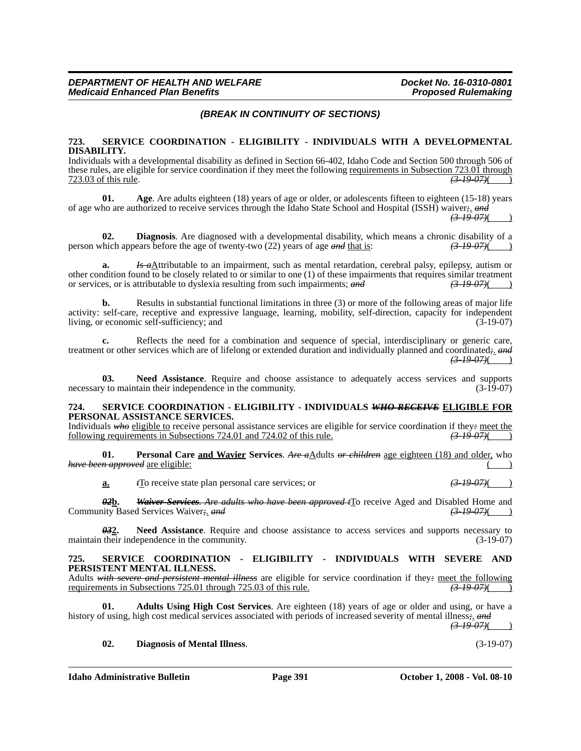# *(BREAK IN CONTINUITY OF SECTIONS)*

#### **723. SERVICE COORDINATION - ELIGIBILITY - INDIVIDUALS WITH A DEVELOPMENTAL DISABILITY.**

Individuals with a developmental disability as defined in Section 66-402, Idaho Code and Section 500 through 506 of these rules, are eligible for service coordination if they meet the following <u>requirements in Subsection 723.01 through</u>  $\frac{723.03 \text{ of this rule}}{(3-19-07)(}$ 723.03 of this rule. *(3-19-07)*( )

**01. Age**. Are adults eighteen (18) years of age or older, or adolescents fifteen to eighteen (15-18) years of age who are authorized to receive services through the Idaho State School and Hospital (ISSH) waiver*;*. *and*

*(3-19-07)*( )

**02. Diagnosis**. Are diagnosed with a developmental disability, which means a chronic disability of a chronic appears before the age of twenty-two (22) years of age *and* that is:  $\frac{(3.19 \text{ } 0.07)()}{(3.19 \text{ } 0.07)()}$ person which appears before the age of twenty-two (22) years of age *and* that is:

**a.** *Is a*Attributable to an impairment, such as mental retardation, cerebral palsy, epilepsy, autism or other condition found to be closely related to or similar to one (1) of these impairments that requires similar treatment or services, or is attributable to dyslexia resulting from such impairments; and  $\left(3-19-07\right)$ or services, or is attributable to dyslexia resulting from such impairments; *and* 

**b.** Results in substantial functional limitations in three (3) or more of the following areas of major life activity: self-care, receptive and expressive language, learning, mobility, self-direction, capacity for independent living, or economic self-sufficiency; and

**c.** Reflects the need for a combination and sequence of special, interdisciplinary or generic care, treatment or other services which are of lifelong or extended duration and individually planned and coordinated*;*. *and*  $(3-19-07)()$ 

**03. Need Assistance**. Require and choose assistance to adequately access services and supports necessary to maintain their independence in the community. (3-19-07)

#### **724. SERVICE COORDINATION - ELIGIBILITY - INDIVIDUALS** *WHO RECEIVE* **ELIGIBLE FOR PERSONAL ASSISTANCE SERVICES.**

Individuals *who* eligible to receive personal assistance services are eligible for service coordination if they- <u>meet the</u><br>following requirements in Subsections 724.01 and 724.02 of this rule.  $\left(3-19-07\right)$ following requirements in Subsections 724.01 and 724.02 of this rule.

**01. Personal Care and Wavier Services**. *Are a*Adults *or children* age eighteen (18) and older, who *have been approved* are eligible: ( )

**a.** *t*<sub>I</sub><sup>O</sup> receive state plan personal care services; or *(3-19-07)*( )

*02***b.** *Waiver Services. Are adults who have been approved t*To receive Aged and Disabled Home and Community Based Services Waiver; *and* 

*03***2. Need Assistance**. Require and choose assistance to access services and supports necessary to maintain their independence in the community. (3-19-07)

#### **725. SERVICE COORDINATION - ELIGIBILITY - INDIVIDUALS WITH SEVERE AND PERSISTENT MENTAL ILLNESS.**

Adults *with severe and persistent mental illness* are eligible for service coordination if they*:* meet the following requirements in Subsections 725.01 through 725.03 of this rule. *(3-19-07)*( )

**01. Adults Using High Cost Services**. Are eighteen (18) years of age or older and using, or have a history of using, high cost medical services associated with periods of increased severity of mental illness;. *and*  $(3-19-07)$ ( )

#### **02. Diagnosis of Mental Illness**. (3-19-07)

#### **Idaho Administrative Bulletin Page 391 October 1, 2008 - Vol. 08-10**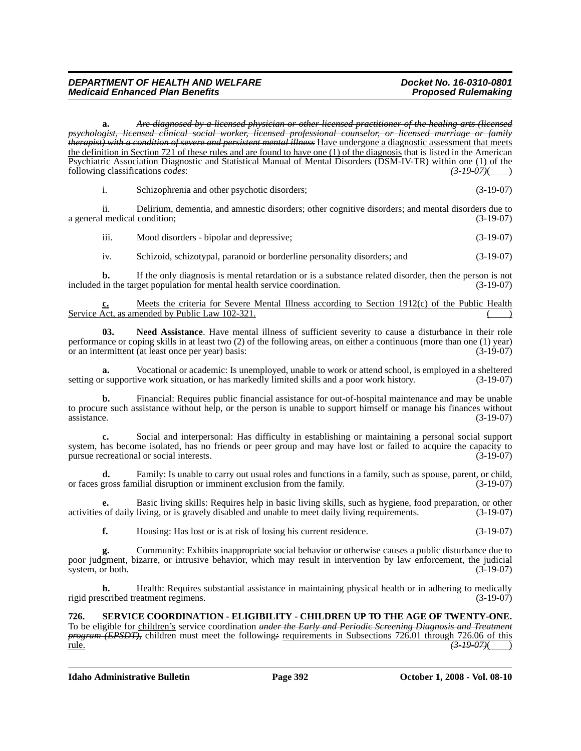**a.** *Are diagnosed by a licensed physician or other licensed practitioner of the healing arts (licensed psychologist, licensed clinical social worker, licensed professional counselor, or licensed marriage or family therapist) with a condition of severe and persistent mental illness* Have undergone a diagnostic assessment that meets the definition in Section 721 of these rules and are found to have one (1) of the diagnosis that is listed in the American Psychiatric Association Diagnostic and Statistical Manual of Mental Disorders (DSM-IV-TR) within one (1) of the following classifications  $\frac{\cos\theta}{\cos\theta}$ . (3-19-07)(4) following classifications *codes*:

i. Schizophrenia and other psychotic disorders; (3-19-07)

ii. Delirium, dementia, and amnestic disorders; other cognitive disorders; and mental disorders due to a general medical condition; (3-19-07)

iii. Mood disorders - bipolar and depressive; (3-19-07)

iv. Schizoid, schizotypal, paranoid or borderline personality disorders; and (3-19-07)

**b.** If the only diagnosis is mental retardation or is a substance related disorder, then the person is not included in the target population for mental health service coordination. (3-19-07)

**c.** Meets the criteria for Severe Mental Illness according to Section 1912(c) of the Public Health Service Act, as amended by Public Law 102-321.

**03. Need Assistance**. Have mental illness of sufficient severity to cause a disturbance in their role performance or coping skills in at least two (2) of the following areas, on either a continuous (more than one (1) year) or an intermittent (at least once per year) basis: (3-19-07)

**a.** Vocational or academic: Is unemployed, unable to work or attend school, is employed in a sheltered r supportive work situation, or has markedly limited skills and a poor work history. (3-19-07) setting or supportive work situation, or has markedly limited skills and a poor work history.

**b.** Financial: Requires public financial assistance for out-of-hospital maintenance and may be unable to procure such assistance without help, or the person is unable to support himself or manage his finances without  $\frac{1}{3}$  assistance. (3-19-07)

**c.** Social and interpersonal: Has difficulty in establishing or maintaining a personal social support system, has become isolated, has no friends or peer group and may have lost or failed to acquire the capacity to pursue recreational or social interests. (3-19-07) pursue recreational or social interests.

**d.** Family: Is unable to carry out usual roles and functions in a family, such as spouse, parent, or child, gross familial disruption or imminent exclusion from the family. (3-19-07) or faces gross familial disruption or imminent exclusion from the family.

**e.** Basic living skills: Requires help in basic living skills, such as hygiene, food preparation, or other activities of daily living, or is gravely disabled and unable to meet daily living requirements. (3-19-07)

**f.** Housing: Has lost or is at risk of losing his current residence. (3-19-07)

**g.** Community: Exhibits inappropriate social behavior or otherwise causes a public disturbance due to poor judgment, bizarre, or intrusive behavior, which may result in intervention by law enforcement, the judicial system, or both. (3-19-07) system, or both.

**h.** Health: Requires substantial assistance in maintaining physical health or in adhering to medically rigid prescribed treatment regimens. (3-19-07)

**726. SERVICE COORDINATION - ELIGIBILITY - CHILDREN UP TO THE AGE OF TWENTY-ONE.** To be eligible for children's service coordination *under the Early and Periodic Screening Diagnosis and Treatment program (EPSDT)*, children must meet the following<sup>2</sup> requirements in Subsections 726.01 through 726.06 of this rule. *(3-19-07)*( )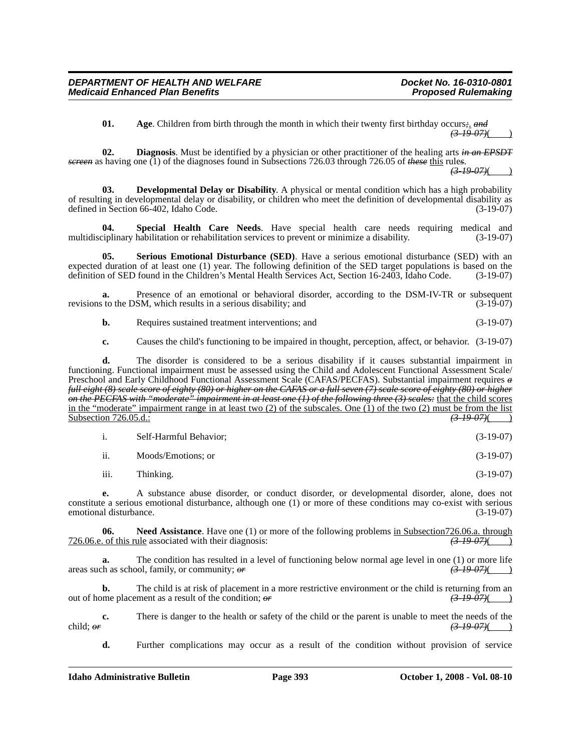**01. Age**. Children from birth through the month in which their twenty first birthday occurs*;*. *and*  $(3-19-07)$ 

**02. Diagnosis**. Must be identified by a physician or other practitioner of the healing arts *in an EPSDT screen* as having one (1) of the diagnoses found in Subsections 726.03 through 726.05 of *these* this rule*s*.

*(3-19-07)*( )

**03. Developmental Delay or Disability**. A physical or mental condition which has a high probability of resulting in developmental delay or disability, or children who meet the definition of developmental disability as defined in Section 66-402, Idaho Code. (3-19-07)

**04. Special Health Care Needs**. Have special health care needs requiring medical and multidisciplinary habilitation or rehabilitation services to prevent or minimize a disability. (3-19-07)

**05. Serious Emotional Disturbance (SED)**. Have a serious emotional disturbance (SED) with an expected duration of at least one (1) year. The following definition of the SED target populations is based on the definition of SED found in the Children's Mental Health Services Act, Section 16-2403, Idaho Code. (3-19-07)

**a.** Presence of an emotional or behavioral disorder, according to the DSM-IV-TR or subsequent revisions to the DSM, which results in a serious disability; and (3-19-07)

**b.** Requires sustained treatment interventions; and (3-19-07)

**c.** Causes the child's functioning to be impaired in thought, perception, affect, or behavior. (3-19-07)

**d.** The disorder is considered to be a serious disability if it causes substantial impairment in functioning. Functional impairment must be assessed using the Child and Adolescent Functional Assessment Scale/ Preschool and Early Childhood Functional Assessment Scale (CAFAS/PECFAS). Substantial impairment requires *a full eight (8) scale score of eighty (80) or higher on the CAFAS or a full seven (7) scale score of eighty (80) or higher on the PECFAS with "moderate" impairment in at least one (1) of the following three (3) scales:* that the child scores in the "moderate" impairment range in at least two  $(2)$  of the subscales. One  $(1)$  of the two  $(2)$  must be from the list Subsection 726.05.d.: *(3-19-07)*(*3-19-07)*(*3-19-07)*(*3-19-07)*(*3-19-07)*(*3-19-07)*(*3-19-07)*(*3-19-07)*(*3-19-07)*(*3-19-07)*(*3-19-07)*(*3-19-07)*(*3-19-07)*(*3-19-07)*(*3-19-07)*(*3-19-07)*(*3-19-07)*(*3-19-07)*(

| Self-Harmful Behavior; | $(3-19-07)$ |
|------------------------|-------------|
|                        |             |

ii. Moods/Emotions; or (3-19-07)

iii. Thinking. (3-19-07)

**e.** A substance abuse disorder, or conduct disorder, or developmental disorder, alone, does not constitute a serious emotional disturbance, although one (1) or more of these conditions may co-exist with serious emotional disturbance. (3-19-07)

**06.** Need Assistance. Have one (1) or more of the following problems in Subsection726.06.a. through of this rule associated with their diagnosis:  $\frac{(3-19-07)}{(3-19-07)}$ 726.06.e. of this rule associated with their diagnosis:

**a.** The condition has resulted in a level of functioning below normal age level in one (1) or more life areas such as school, family, or community; *or (3-19-07)*( )

**b.** The child is at risk of placement in a more restrictive environment or the child is returning from an out of home placement as a result of the condition;  $\theta r$  *(3-19-07)*(

**c.** There is danger to the health or safety of the child or the parent is unable to meet the needs of the child; *or (3-19-07)*( )

**d.** Further complications may occur as a result of the condition without provision of service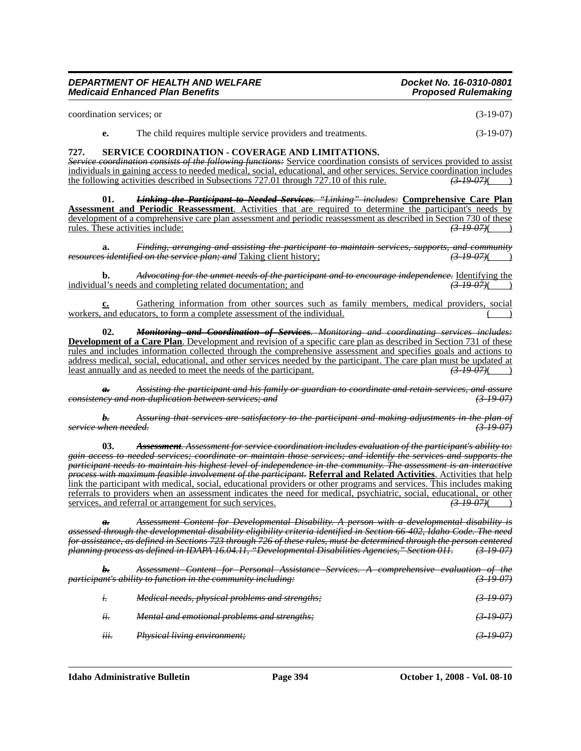coordination services; or (3-19-07)

**e.** The child requires multiple service providers and treatments. (3-19-07)

# **727. SERVICE COORDINATION - COVERAGE AND LIMITATIONS.**

*Service coordination consists of the following functions:* Service coordination consists of services provided to assist individuals in gaining access to needed medical, social, educational, and other services. Service coordination includes the following activities described in Subsections 727.01 through 727.10 of this rule.  $\left(3.19\right.07\right$ the following activities described in Subsections 727.01 through 727.10 of this rule.

**01.** *Linking the Participant to Needed Services. "Linking" includes:* **Comprehensive Care Plan Assessment and Periodic Reassessment**. Activities that are required to determine the participant's needs by development of a comprehensive care plan assessment and periodic reassessment as described in Section 730 of these rules. These activities include:  $\left( \frac{3-19-07}{2} \right)$ rules. These activities include:

**a.** *Finding, arranging and assisting the participant to maintain services, supports, and community resources identified on the service plan; and* Taking client history;

**b.** *Advocating for the unmet needs of the participant and to encourage independence.* Identifying the al's needs and completing related documentation: and  $\overrightarrow{3-19-07}$  (3.49.07) individual's needs and completing related documentation; and

**c.** Gathering information from other sources such as family members, medical providers, social workers, and educators, to form a complete assessment of the individual.

**02.** *Monitoring and Coordination of Services. Monitoring and coordinating services includes:* **Development of a Care Plan**. Development and revision of a specific care plan as described in Section 731 of these rules and includes information collected through the comprehensive assessment and specifies goals and actions to address medical, social, educational, and other services needed by the participant. The care plan must be updated at least annually and as needed to meet the needs of the participant. least annually and as needed to meet the needs of the participant.

*a. Assisting the participant and his family or guardian to coordinate and retain services, and assure consistency and non-duplication between services; and (3-19-07)*

*b. Assuring that services are satisfactory to the participant and making adjustments in the plan of service when needed. (3-19-07)*

**03.** *Assessment. Assessment for service coordination includes evaluation of the participant's ability to: gain access to needed services; coordinate or maintain those services; and identify the services and supports the participant needs to maintain his highest level of independence in the community. The assessment is an interactive process with maximum feasible involvement of the participant.* **Referral and Related Activities**. Activities that help link the participant with medical, social, educational providers or other programs and services. This includes making referrals to providers when an assessment indicates the need for medical, psychiatric, social, educational, or other services, and referral or arrangement for such services.  $(3-19-07)$ 

*a. Assessment Content for Developmental Disability. A person with a developmental disability is assessed through the developmental disability eligibility criteria identified in Section 66-402, Idaho Code. The need for assistance, as defined in Sections 723 through 726 of these rules, must be determined through the person centered planning process as defined in IDAPA 16.04.11, "Developmental Disabilities Agencies," Section 011. (3-19-07)*

*b. Assessment Content for Personal Assistance Services. A comprehensive evaluation of the participant's ability to function in the community including: i. Medical needs, physical problems and strengths; (3-19-07) ii. Mental and emotional problems and strengths; (3-19-07) iii. Physical living environment; (3-19-07)*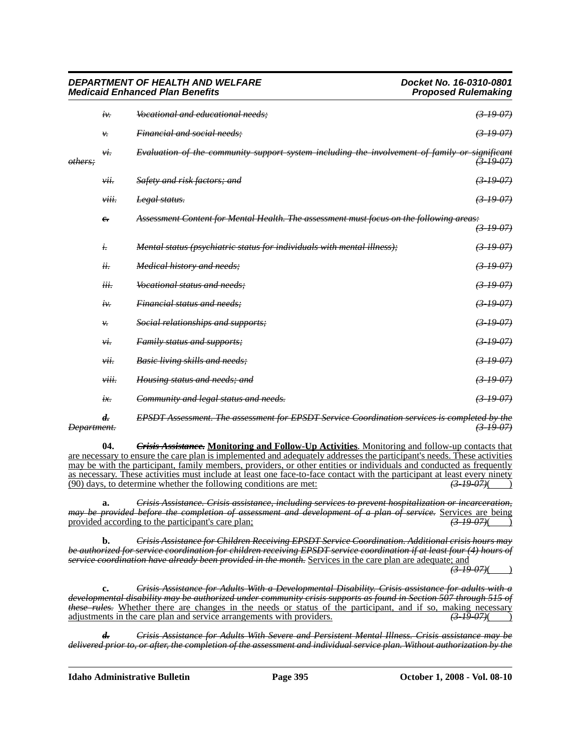|                    | iv.                | Vocational and educational needs;                                                             | $(3-19-07)$          |
|--------------------|--------------------|-----------------------------------------------------------------------------------------------|----------------------|
|                    | ν.                 | Financial and social needs;                                                                   | $(3-19-07)$          |
| <del>others:</del> | νi.                | Evaluation of the community support system including the involvement of family or significant | $(3-19-07)$          |
|                    | vii.               | Safety and risk factors; and                                                                  | $(3 - 19 - 07)$      |
|                    | viii.              | Legal status.                                                                                 | $(3-19-07)$          |
|                    | $e_{\overline{z}}$ | Assessment Content for Mental Health. The assessment must focus on the following areas:       |                      |
|                    |                    |                                                                                               | $(3-19-07)$          |
|                    | $\dot{t}$ .        | Mental status (psychiatric status for individuals with mental illness);                       | $(3-19-07)$          |
|                    | ii.                | Medical history and needs;                                                                    | (3.19.07)            |
|                    | iii.               | Vocational status and needs:                                                                  | $(3-19-07)$          |
|                    | iv:                | <b>Financial status and needs:</b>                                                            | $(3-19-07)$          |
|                    | ₩.                 | Social relationships and supports;                                                            | $(3 - 1907)$         |
|                    | νi.                | Family status and supports;                                                                   | $(3-19-07)$          |
|                    | vii.               | Basic living skills and needs;                                                                | $(3-19-07)$          |
|                    | viii.              | Housing status and needs; and                                                                 | (31907)              |
|                    | ix.                | Community and legal status and needs.                                                         | <del>(3-19-07)</del> |
|                    |                    |                                                                                               |                      |

*d. EPSDT Assessment. The assessment for EPSDT Service Coordination services is completed by the Department. (3-19-07)*

**04.** *Crisis Assistance.* **Monitoring and Follow-Up Activities**. Monitoring and follow-up contacts that are necessary to ensure the care plan is implemented and adequately addresses the participant's needs. These activities may be with the participant, family members, providers, or other entities or individuals and conducted as frequently as necessary. These activities must include at least one face-to-face contact with the participant at least every ninety (90) days, to determine whether the following conditions are met:  $\left(3-19-07\right)$  (3.49) (90) days, to determine whether the following conditions are met:

**a.** *Crisis Assistance. Crisis assistance, including services to prevent hospitalization or incarceration, may be provided before the completion of assessment and development of a plan of service.* Services are being provided according to the participant's care plan;<br>(3.19.07) provided according to the participant's care plan;

**b.** *Crisis Assistance for Children Receiving EPSDT Service Coordination. Additional crisis hours may be authorized for service coordination for children receiving EPSDT service coordination if at least four (4) hours of service coordination have already been provided in the month.* Services in the care plan are adequate; and

 $(3-19-07)$ 

**c.** *Crisis Assistance for Adults With a Developmental Disability. Crisis assistance for adults with a developmental disability may be authorized under community crisis supports as found in Section 507 through 515 of these rules.* Whether there are changes in the needs or status of the participant, and if so, making necessary adjustments in the care plan and service arrangements with providers. *(3-19-07)*( )

*d. Crisis Assistance for Adults With Severe and Persistent Mental Illness. Crisis assistance may be delivered prior to, or after, the completion of the assessment and individual service plan. Without authorization by the* 

**Idaho Administrative Bulletin Page 395 October 1, 2008 - Vol. 08-10**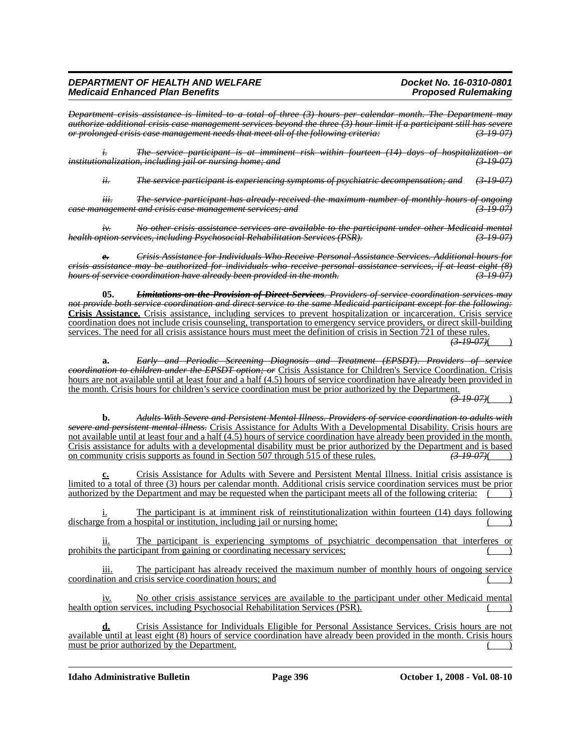*Department crisis assistance is limited to a total of three (3) hours per calendar month. The Department may authorize additional crisis case management services beyond the three (3) hour limit if a participant still has severe or prolonged crisis case management needs that meet all of the following criteria: (3-19-07)*

*i. The service participant is at imminent risk within fourteen (14) days of hospitalization or institutionalization, including jail or nursing home; and (3-19-07)*

*ii. The service participant is experiencing symptoms of psychiatric decompensation; and (3-19-07)*

*iii. The service participant has already received the maximum number of monthly hours of ongoing case management and crisis case management services; and (3-19-07)*

*iv. No other crisis assistance services are available to the participant under other Medicaid mental health option services, including Psychosocial Rehabilitation Services (PSR). (3-19-07)*

*e. Crisis Assistance for Individuals Who Receive Personal Assistance Services. Additional hours for crisis assistance may be authorized for individuals who receive personal assistance services, if at least eight (8) hours of service coordination have already been provided in the month. (3-19-07)*

**05.** *Limitations on the Provision of Direct Services. Providers of service coordination services may not provide both service coordination and direct service to the same Medicaid participant except for the following:*  **Crisis Assistance.** Crisis assistance, including services to prevent hospitalization or incarceration. Crisis service coordination does not include crisis counseling, transportation to emergency service providers, or direct skill-building services. The need for all crisis assistance hours must meet the definition of crisis in Section 721 of these rules. *(3-19-07)*( )

**a.** *Early and Periodic Screening Diagnosis and Treatment (EPSDT). Providers of service coordination to children under the EPSDT option; or* Crisis Assistance for Children's Service Coordination. Crisis hours are not available until at least four and a half (4.5) hours of service coordination have already been provided in the month. Crisis hours for children's service coordination must be prior authorized by the Department.

*(3-19-07)*( )

**b.** *Adults With Severe and Persistent Mental Illness. Providers of service coordination to adults with ersistent mental illness.* Crisis Assistance for Adults With a Developmental Disability. Crisis hours are not available until at least four and a half (4.5) hours of service coordination have already been provided in the month. Crisis assistance for adults with a developmental disability must be prior authorized by the Department and is based<br>on community crisis supports as found in Section 507 through 515 of these rules.  $\left(3-19-07\right)$ on community crisis supports as found in Section 507 through 515 of these rules.

**Crisis Assistance for Adults with Severe and Persistent Mental Illness. Initial crisis assistance is** limited to a total of three (3) hours per calendar month. Additional crisis service coordination services must be prior authorized by the Department and may be requested when the participant meets all of the following criteria:

The participant is at imminent risk of reinstitutionalization within fourteen (14) days following discharge from a hospital or institution, including jail or nursing home;

ii. The participant is experiencing symptoms of psychiatric decompensation that interferes or prohibits the participant from gaining or coordinating necessary services;

iii. The participant has already received the maximum number of monthly hours of ongoing service coordination and crisis service coordination hours; and

iv. No other crisis assistance services are available to the participant under other Medicaid mental health option services, including Psychosocial Rehabilitation Services (PSR).

**d.** Crisis Assistance for Individuals Eligible for Personal Assistance Services. Crisis hours are not available until at least eight (8) hours of service coordination have already been provided in the month. Crisis hours must be prior authorized by the Department.

**Idaho Administrative Bulletin Page 396 October 1, 2008 - Vol. 08-10**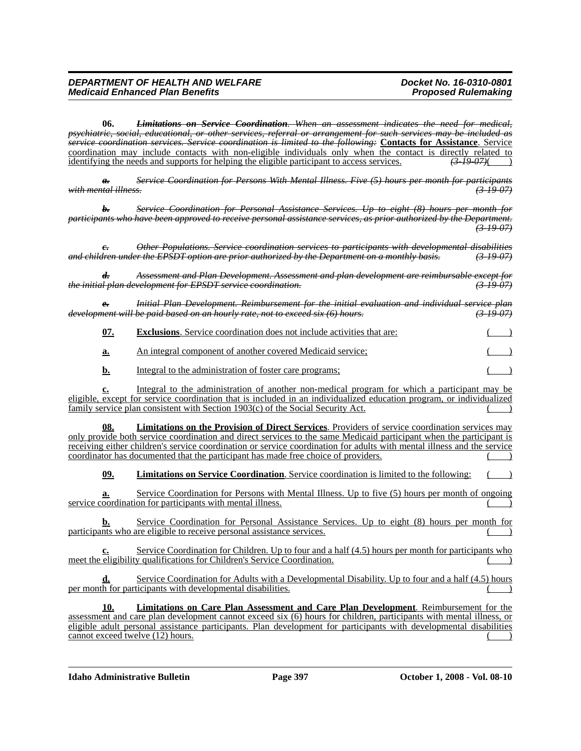**06.** *Limitations on Service Coordination. When an assessment indicates the need for medical, psychiatric, social, educational, or other services, referral or arrangement for such services may be included as service coordination services. Service coordination is limited to the following:* **Contacts for Assistance**. Service coordination may include contacts with non-eligible individuals only when the contact is directly related to identifying the needs and supports for helping the eligible participant to access services. *(3-19-07)*( )

*a. Service Coordination for Persons With Mental Illness. Five (5) hours per month for participants with mental illness. (3-19-07)*

*b. Service Coordination for Personal Assistance Services. Up to eight (8) hours per month for participants who have been approved to receive personal assistance services, as prior authorized by the Department. (3-19-07)*

*c. Other Populations. Service coordination services to participants with developmental disabilities and children under the EPSDT option are prior authorized by the Department on a monthly basis. (3-19-07)*

*d. Assessment and Plan Development. Assessment and plan development are reimbursable except for the initial plan development for EPSDT service coordination. (3-19-07)*

*e. Initial Plan Development. Reimbursement for the initial evaluation and individual service plan development will be paid based on an hourly rate, not to exceed six (6) hours.* 

**07. Exclusions**. Service coordination does not include activities that are:

**a.** An integral component of another covered Medicaid service;

**b.** Integral to the administration of foster care programs;

**c.** Integral to the administration of another non-medical program for which a participant may be eligible, except for service coordination that is included in an individualized education program, or individualized family service plan consistent with Section  $1903(c)$  of the Social Security Act.

**08. Limitations on the Provision of Direct Services**. Providers of service coordination services may only provide both service coordination and direct services to the same Medicaid participant when the participant is receiving either children's service coordination or service coordination for adults with mental illness and the service coordinator has documented that the participant has made free choice of providers.

**09. Limitations on Service Coordination**. Service coordination is limited to the following:

**a.** Service Coordination for Persons with Mental Illness. Up to five (5) hours per month of ongoing service coordination for participants with mental illness.

**b.** Service Coordination for Personal Assistance Services. Up to eight (8) hours per month for participants who are eligible to receive personal assistance services.

Service Coordination for Children. Up to four and a half  $(4.5)$  hours per month for participants who meet the eligibility qualifications for Children's Service Coordination.

**d.** Service Coordination for Adults with a Developmental Disability. Up to four and a half (4.5) hours  $per$  month for participants with developmental disabilities.

**10. Limitations on Care Plan Assessment and Care Plan Development**. Reimbursement for the assessment and care plan development cannot exceed six (6) hours for children, participants with mental illness, or eligible adult personal assistance participants. Plan development for participants with developmental disabilities  $c$ annot exceed twelve  $(12)$  hours.  $\qquad \qquad ( )$ 

**Idaho Administrative Bulletin Page 397 October 1, 2008 - Vol. 08-10**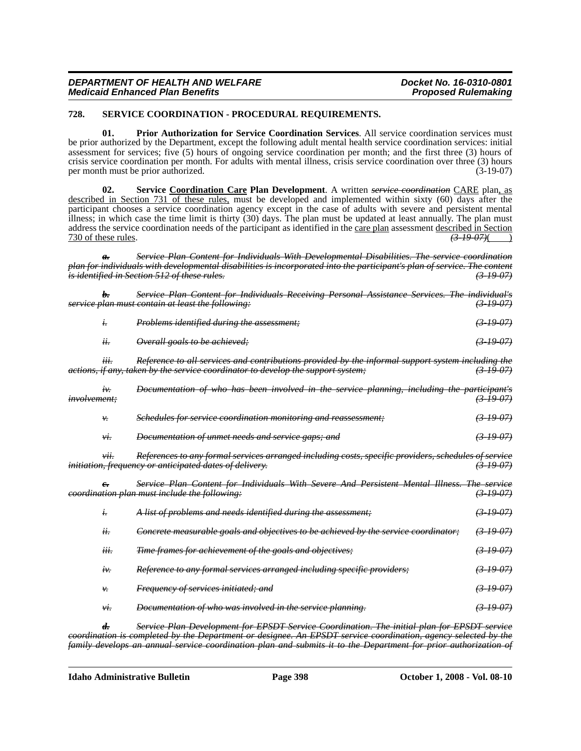#### **728. SERVICE COORDINATION - PROCEDURAL REQUIREMENTS.**

**01. Prior Authorization for Service Coordination Services**. All service coordination services must be prior authorized by the Department, except the following adult mental health service coordination services: initial assessment for services; five (5) hours of ongoing service coordination per month; and the first three (3) hours of crisis service coordination per month. For adults with mental illness, crisis service coordination over three (3) hours per month must be prior authorized.

**02. Service Coordination Care Plan Development**. A written *service coordination* CARE plan, as described in Section 731 of these rules, must be developed and implemented within sixty (60) days after the participant chooses a service coordination agency except in the case of adults with severe and persistent mental illness; in which case the time limit is thirty (30) days. The plan must be updated at least annually. The plan must address the service coordination needs of the participant as identified in the care plan assessment described in Section 730 of these rules. *(3-19-07)*( )

*a. Service Plan Content for Individuals With Developmental Disabilities. The service coordination plan for individuals with developmental disabilities is incorporated into the participant's plan of service. The content is identified in Section 512 of these rules.* 

|              |              | Service Plan Content for Individuals Receiving Personal Assistance Services. The individual's                                                                                                                                                                                                                                                                 |                      |
|--------------|--------------|---------------------------------------------------------------------------------------------------------------------------------------------------------------------------------------------------------------------------------------------------------------------------------------------------------------------------------------------------------------|----------------------|
|              |              | service plan must contain at least the following:                                                                                                                                                                                                                                                                                                             | $(3-19-07)$          |
|              | i.           | Problems identified during the assessment;                                                                                                                                                                                                                                                                                                                    | <del>(3 19 07)</del> |
|              | ii.          | Overall goals to be achieved;                                                                                                                                                                                                                                                                                                                                 | $(3-19-07)$          |
|              | iii.         | Reference to all services and contributions provided by the informal support system including the<br>actions, if any, taken by the service coordinator to develop the support system;                                                                                                                                                                         | $(3-19-07)$          |
| involvement: | iv           | Documentation of who has been involved in the service planning, including the participant's                                                                                                                                                                                                                                                                   | $(3-19-07)$          |
|              | ν.           | Schedules for service coordination monitoring and reassessment;                                                                                                                                                                                                                                                                                               | $(3-19-07)$          |
|              | νi.          | Documentation of unmet needs and service gaps; and                                                                                                                                                                                                                                                                                                            | (31907)              |
|              | vii.         | References to any formal services arranged including costs, specific providers, schedules of service<br>initiation, frequency or anticipated dates of delivery.                                                                                                                                                                                               | (3, 19, 07)          |
|              | $e_{\tau}$   | Service Plan Content for Individuals With Severe And Persistent Mental Illness. The service<br>eoordination plan must include the following:                                                                                                                                                                                                                  | <del>(3 19 07)</del> |
|              | i.           | A list of problems and needs identified during the assessment;                                                                                                                                                                                                                                                                                                | $(3-19-07)$          |
|              | ii.          | Concrete measurable goals and objectives to be achieved by the service coordinator;                                                                                                                                                                                                                                                                           | $(3-19-07)$          |
|              | iii.         | Time frames for achievement of the goals and objectives;                                                                                                                                                                                                                                                                                                      | (31907)              |
|              | $\dot{t}$ .  | Reference to any formal services arranged including specific providers;                                                                                                                                                                                                                                                                                       | $(3-19-07)$          |
|              | ₩.           | Frequency of services initiated; and                                                                                                                                                                                                                                                                                                                          | $(3-19-07)$          |
|              | νi.          | Documentation of who was involved in the service planning.                                                                                                                                                                                                                                                                                                    | (3.19.07)            |
|              | $\mathbf{r}$ | $\alpha$ , $\alpha$ , $\alpha$ , $\alpha$ , $\alpha$ , $\alpha$ , $\alpha$ , $\alpha$ , $\alpha$ , $\alpha$ , $\alpha$ , $\alpha$ , $\alpha$ , $\alpha$ , $\alpha$ , $\alpha$ , $\alpha$ , $\alpha$ , $\alpha$ , $\alpha$ , $\alpha$ , $\alpha$ , $\alpha$ , $\alpha$ , $\alpha$ , $\alpha$ , $\alpha$ , $\alpha$ , $\alpha$ , $\alpha$ , $\alpha$ , $\alpha$ | PDCDT                |

*d. Service Plan Development for EPSDT Service Coordination. The initial plan for EPSDT service coordination is completed by the Department or designee. An EPSDT service coordination, agency selected by the family develops an annual service coordination plan and submits it to the Department for prior authorization of*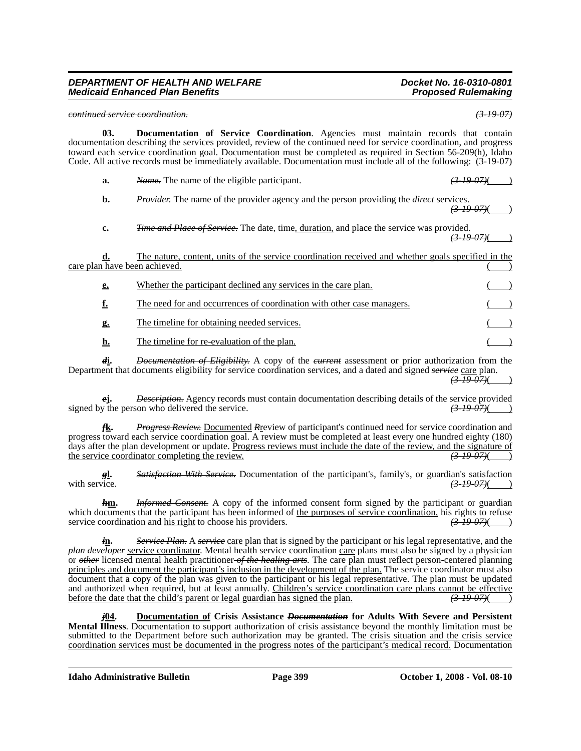#### *continued service coordination. (3-19-07)*

**03. Documentation of Service Coordination**. Agencies must maintain records that contain documentation describing the services provided, review of the continued need for service coordination, and progress toward each service coordination goal. Documentation must be completed as required in Section 56-209(h), Idaho Code. All active records must be immediately available. Documentation must include all of the following: (3-19-07)

| a. | <i>Name</i> . The name of the eligible participant.                                                   | $(3\;19\;07)$ |  |
|----|-------------------------------------------------------------------------------------------------------|---------------|--|
|    | <b>Provider.</b> The name of the provider agency and the person providing the <i>direct</i> services. | (3, 10, 07)   |  |

**c.** *Time and Place of Service.* The date, time, duration, and place the service was provided. *(3-19-07)*( )

| care plan have been achieved. | The nature, content, units of the service coordination received and whether goals specified in the |  |
|-------------------------------|----------------------------------------------------------------------------------------------------|--|
| e.                            | Whether the participant declined any services in the care plan.                                    |  |
| f.                            | The need for and occurrences of coordination with other case managers.                             |  |
| g.                            | The timeline for obtaining needed services.                                                        |  |
| <u>h.</u>                     | The timeline for re-evaluation of the plan.                                                        |  |
|                               |                                                                                                    |  |

*d***i.** *Documentation of Eligibility.* A copy of the *current* assessment or prior authorization from the Department that documents eligibility for service coordination services, and a dated and signed *service* care plan. *(3-19-07)*( )

*e***j.** *Description.* Agency records must contain documentation describing details of the service provided signed by the person who delivered the service.  $\left(3.19\right)\frac{(3.19\cdot97)}{(2.19\cdot97)}$ 

*f***k.** *Progress Review.* Documented *R*review of participant's continued need for service coordination and progress toward each service coordination goal. A review must be completed at least every one hundred eighty (180) days after the plan development or update. <u>Progress reviews must include the date of the review, and the signature of</u><br>the service coordinator completing the review. the service coordinator completing the review.

**gl.** *Satisfaction With Service*. Documentation of the participant's, family's, or guardian's satisfaction with service.  $\left( \frac{3-19-07}{2} \right)$  $(3-19-07)$ ( )

*h***m.** *Informed Consent.* A copy of the informed consent form signed by the participant or guardian which documents that the participant has been informed of <u>the purposes of service coordination</u>, his rights to refuse service coordination and his right to choose his providers.  $\left(3\frac{1900}{10000000000000000000000000000$ service coordination and his right to choose his providers.

*i***n.** *Service Plan.* A *service* care plan that is signed by the participant or his legal representative, and the *plan developer* service coordinator. Mental health service coordination care plans must also be signed by a physician or *other* licensed mental health practitioner *of the healing arts*. The care plan must reflect person-centered planning principles and document the participant's inclusion in the development of the plan. The service coordinator must also document that a copy of the plan was given to the participant or his legal representative. The plan must be updated and authorized when required, but at least annually. Children's service coordination care plans cannot be effective before the date that the child's parent or legal guardian has signed the plan.  $\left(3-19-07\right)$ before the date that the child's parent or legal guardian has signed the plan.

*j***04. Documentation of Crisis Assistance** *Documentation* **for Adults With Severe and Persistent Mental Illness**. Documentation to support authorization of crisis assistance beyond the monthly limitation must be submitted to the Department before such authorization may be granted. The crisis situation and the crisis service coordination services must be documented in the progress notes of the participant's medical record. Documentation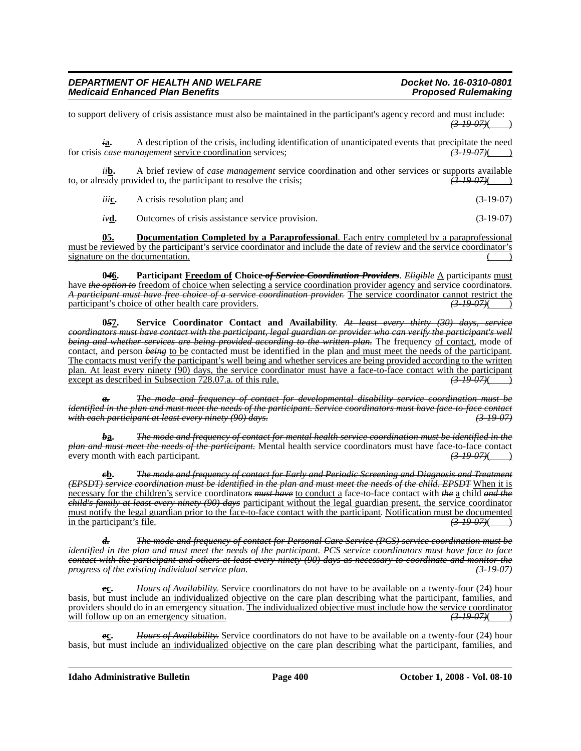to support delivery of crisis assistance must also be maintained in the participant's agency record and must include:  $(3-19-07)$ ( )

*i***a.** A description of the crisis, including identification of unanticipated events that precipitate the need *case management* service coordination services;  $\overline{(3.19.07)}$ for crisis *case management* service coordination services;

*ii***b.** A brief review of *case management* <u>service coordination</u> and other services or supports available eady provided to, the participant to resolve the crisis;  $\left(3.19, 07\right)$ to, or already provided to, the participant to resolve the crisis;

*iii***c.** A crisis resolution plan; and (3-19-07)

*iv***d.** Outcomes of crisis assistance service provision. (3-19-07)

**05. Documentation Completed by a Paraprofessional**. Each entry completed by a paraprofessional must be reviewed by the participant's service coordinator and include the date of review and the service coordinator's signature on the documentation.

046. Participant Freedom of Choice of Service Coordination Providers. *Eligible* A participants must have *the option to* <u>freedom of choice when</u> select<u>ing a service coordination provider agency and</u> service coordinators.<br>A *participant must have free choice of a service coordination provider*. The service coordinator participant's choice of other health care providers.

**0***5***7. Service Coordinator Contact and Availability**. *At least every thirty (30) days, service coordinators must have contact with the participant, legal guardian or provider who can verify the participant's well being and whether services are being provided according to the written plan*. The frequency <u>of contact</u>, mode of contact, and person *being* to be contacted must be identified in the plan and must meet the needs of the p The contacts must verify the participant's well being and whether services are being provided according to the written plan. At least every ninety (90) days, the service coordinator must have a face-to-face contact with the participant except as described in Subsection 728.07.a. of this rule. *(3-19-07)*( )

*a. The mode and frequency of contact for developmental disability service coordination must be identified in the plan and must meet the needs of the participant. Service coordinators must have face-to-face contact with each participant at least every ninety (90) days. (3-19-07)*

*b***a.** *The mode and frequency of contact for mental health service coordination must be identified in the plan and must meet the needs of the participant*. Mental health service coordinators must have face-to-face contact<br>every month with each participant. every month with each participant.

*c***b.** *The mode and frequency of contact for Early and Periodic Screening and Diagnosis and Treatment (EPSDT) service coordination must be identified in the plan and must meet the needs of the child. EPSDT* When it is necessary for the children's service coordinator*s must have* to conduct a face-to-face contact with *the* a child *and the child's family at least every ninety (90) days* participant without the legal guardian present, the service coordinator must notify the legal guardian prior to the face-to-face contact with the participant. Notification must be documented<br>in the participant's file.  $\left( \frac{3.19 \text{ } 0.07}{6.00 \text{ } \cdot \text{ } \cdot \text{ } \cdot \text{ } \cdot \text{ } \cdot \text{ } \cdot \text{ } \cdot \text{ } \cdot \text$ in the participant's file.

*d. The mode and frequency of contact for Personal Care Service (PCS) service coordination must be identified in the plan and must meet the needs of the participant. PCS service coordinators must have face to face contact with the participant and others at least every ninety (90) days as necessary to coordinate and monitor the progress of the existing individual service plan.* 

*e***c.** *Hours of Availability.* Service coordinators do not have to be available on a twenty-four (24) hour basis, but must include an individualized objective on the care plan describing what the participant, families, and providers should do in an emergency situation. The individualized objective must include how the service coordinator will follow up on an emergency situation.  $\left(3-19-07\right)$ 

*e***c.** *Hours of Availability.* Service coordinators do not have to be available on a twenty-four (24) hour basis, but must include an individualized objective on the care plan describing what the participant, families, and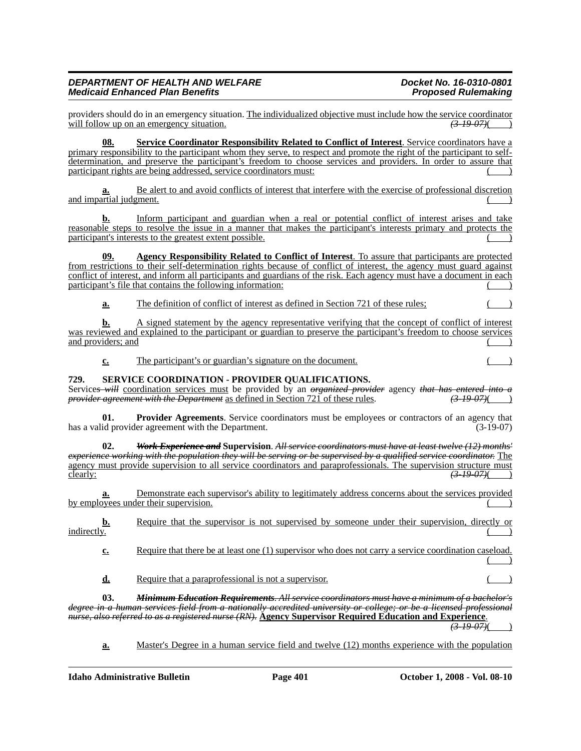providers should do in an emergency situation. The individualized objective must include how the service coordinator will follow up on an emergency situation. will follow up on an emergency situation.

**08. Service Coordinator Responsibility Related to Conflict of Interest**. Service coordinators have a primary responsibility to the participant whom they serve, to respect and promote the right of the participant to selfdetermination, and preserve the participant's freedom to choose services and providers. In order to assure that  $participant rights are being addressed, service coordinates must:$  ( )

**a.** Be alert to and avoid conflicts of interest that interfere with the exercise of professional discretion and impartial judgment.

**b.** Inform participant and guardian when a real or potential conflict of interest arises and take reasonable steps to resolve the issue in a manner that makes the participant's interests primary and protects the participant's interests to the greatest extent possible.

**09. Agency Responsibility Related to Conflict of Interest**. To assure that participants are protected from restrictions to their self-determination rights because of conflict of interest, the agency must guard against conflict of interest, and inform all participants and guardians of the risk. Each agency must have a document in each participant's file that contains the following information: () ()

**a.** The definition of conflict of interest as defined in Section 721 of these rules;

**b.** A signed statement by the agency representative verifying that the concept of conflict of interest was reviewed and explained to the participant or guardian to preserve the participant's freedom to choose services and providers; and

**c.** The participant's or guardian's signature on the document.

# **729. SERVICE COORDINATION - PROVIDER QUALIFICATIONS.**

Services will <u>coordination services must</u> be provided by an *organized provider* agency *that has entered into a provider agreement with the Department* as defined in Section 721 of these rules. (3-19-07) *provider agreement with the Department* as defined in Section 721 of these rules.

**Provider Agreements**. Service coordinators must be employees or contractors of an agency that has a valid provider agreement with the Department. (3-19-07)

**02.** *Work Experience and* **Supervision**. *All service coordinators must have at least twelve (12) months' experience working with the population they will be serving or be supervised by a qualified service coordinator.* The agency must provide supervision to all service coordinators and paraprofessionals. The supervision structure must<br>clearly:  $\left( \frac{3-19-07}{2} \right)$ clearly: *(3-19-07)*( )

**a.** Demonstrate each supervisor's ability to legitimately address concerns about the services provided by employees under their supervision.

**b.** Require that the supervisor is not supervised by someone under their supervision, directly or indirectly.  $\blacksquare$  indirectly.  $\begin{pmatrix} 1 & 1 \end{pmatrix}$ 

**c.** Require that there be at least one (1) supervisor who does not carry a service coordination caseload.  $($  )

**d.** Require that a paraprofessional is not a supervisor.

**03.** *Minimum Education Requirements. All service coordinators must have a minimum of a bachelor's degree in a human services field from a nationally accredited university or college; or be a licensed professional nurse, also referred to as a registered nurse (RN).* **Agency Supervisor Required Education and Experience**.

*(3-19-07)*( )

**a.** Master's Degree in a human service field and twelve (12) months experience with the population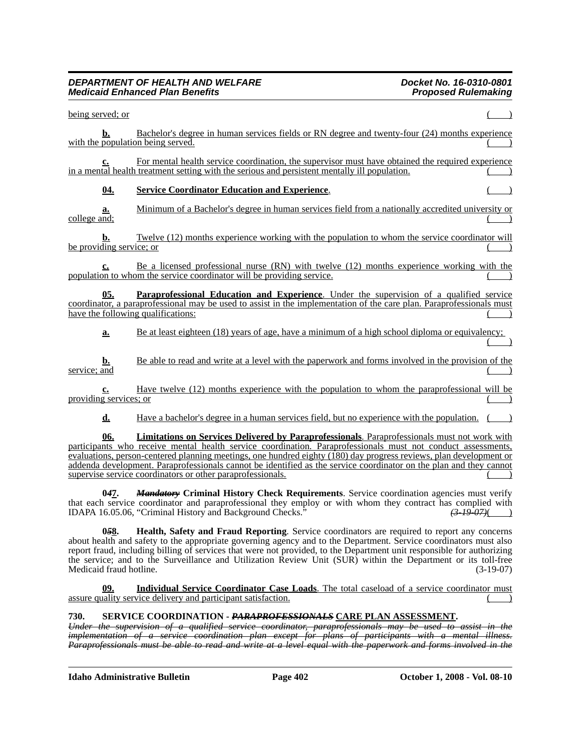| being served; or         |            |                                                                                                                                                                                                                                                                                                                                                                                                                                                                                                                               |
|--------------------------|------------|-------------------------------------------------------------------------------------------------------------------------------------------------------------------------------------------------------------------------------------------------------------------------------------------------------------------------------------------------------------------------------------------------------------------------------------------------------------------------------------------------------------------------------|
|                          | b.         | Bachelor's degree in human services fields or RN degree and twenty-four (24) months experience<br>with the population being served.                                                                                                                                                                                                                                                                                                                                                                                           |
|                          | <u>c.</u>  | For mental health service coordination, the supervisor must have obtained the required experience<br>in a mental health treatment setting with the serious and persistent mentally ill population.                                                                                                                                                                                                                                                                                                                            |
|                          | <u>04.</u> | <b>Service Coordinator Education and Experience.</b>                                                                                                                                                                                                                                                                                                                                                                                                                                                                          |
| college and;             | a.         | Minimum of a Bachelor's degree in human services field from a nationally accredited university or                                                                                                                                                                                                                                                                                                                                                                                                                             |
| be providing service; or |            | Twelve (12) months experience working with the population to whom the service coordinator will                                                                                                                                                                                                                                                                                                                                                                                                                                |
|                          |            | Be a licensed professional nurse (RN) with twelve (12) months experience working with the<br>population to whom the service coordinator will be providing service.                                                                                                                                                                                                                                                                                                                                                            |
|                          | 05.        | Paraprofessional Education and Experience. Under the supervision of a qualified service<br>coordinator, a paraprofessional may be used to assist in the implementation of the care plan. Paraprofessionals must<br>have the following qualifications:                                                                                                                                                                                                                                                                         |
|                          | a.         | Be at least eighteen (18) years of age, have a minimum of a high school diploma or equivalency;                                                                                                                                                                                                                                                                                                                                                                                                                               |
| service; and             | b.         | Be able to read and write at a level with the paperwork and forms involved in the provision of the                                                                                                                                                                                                                                                                                                                                                                                                                            |
| providing services; or   | c.         | Have twelve (12) months experience with the population to whom the paraprofessional will be                                                                                                                                                                                                                                                                                                                                                                                                                                   |
|                          | d.         | Have a bachelor's degree in a human services field, but no experience with the population.                                                                                                                                                                                                                                                                                                                                                                                                                                    |
|                          | 06.        | <b>Limitations on Services Delivered by Paraprofessionals.</b> Paraprofessionals must not work with<br>participants who receive mental health service coordination. Paraprofessionals must not conduct assessments,<br>evaluations, person-centered planning meetings, one hundred eighty (180) day progress reviews, plan development or<br>addenda development. Paraprofessionals cannot be identified as the service coordinator on the plan and they cannot<br>supervise service coordinators or other paraprofessionals. |
|                          | 047.       | <b>Mandatory Criminal History Check Requirements.</b> Service coordination agencies must verify<br>that each service coordinator and paraprofessional they employ or with whom they contract has complied with<br>IDAPA 16.05.06, "Criminal History and Background Checks."<br>$(3-19-07)$                                                                                                                                                                                                                                    |
|                          | 058.       | Health, Safety and Fraud Reporting. Service coordinators are required to report any concerns                                                                                                                                                                                                                                                                                                                                                                                                                                  |

about health and safety to the appropriate governing agency and to the Department. Service coordinators must also report fraud, including billing of services that were not provided, to the Department unit responsible for authorizing the service; and to the Surveillance and Utilization Review Unit (SUR) within the Department or its toll-free Medicaid fraud hotline. (3-19-07)

**09. Individual Service Coordinator Case Loads**. The total caseload of a service coordinator must  $\Box$  assure quality service delivery and participant satisfaction.

# **730. SERVICE COORDINATION -** *PARAPROFESSIONALS* **CARE PLAN ASSESSMENT.**

*Under the supervision of a qualified service coordinator, paraprofessionals may be used to assist in the implementation of a service coordination plan except for plans of participants with a mental illness. Paraprofessionals must be able to read and write at a level equal with the paperwork and forms involved in the* 

**Idaho Administrative Bulletin Page 402 October 1, 2008 - Vol. 08-10**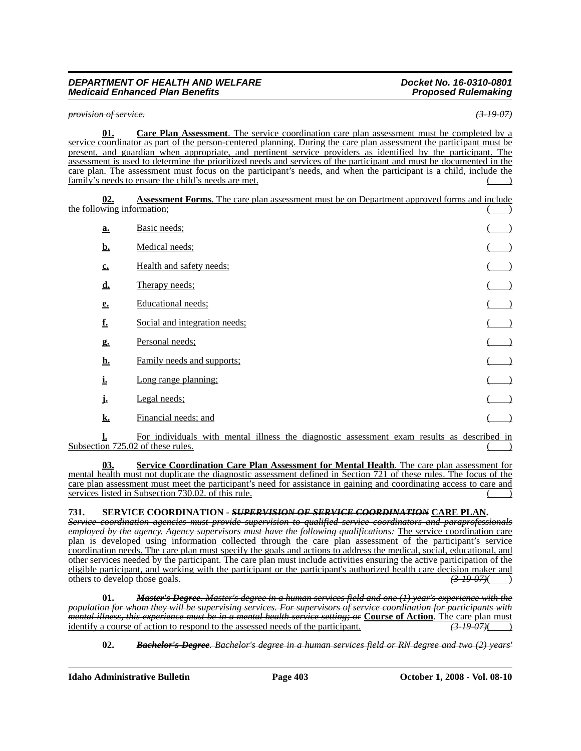*provision of service. (3-19-07)*

**01. Care Plan Assessment**. The service coordination care plan assessment must be completed by a service coordinator as part of the person-centered planning. During the care plan assessment the participant must be present, and guardian when appropriate, and pertinent service providers as identified by the participant. The assessment is used to determine the prioritized needs and services of the participant and must be documented in the care plan. The assessment must focus on the participant's needs, and when the participant is a child, include the family's needs to ensure the child's needs are met.

**02. Assessment Forms**. The care plan assessment must be on Department approved forms and include the following information;

| a.          | Basic needs;                                                                                                                                                                                                                                                                                                                                                                                                                          |  |
|-------------|---------------------------------------------------------------------------------------------------------------------------------------------------------------------------------------------------------------------------------------------------------------------------------------------------------------------------------------------------------------------------------------------------------------------------------------|--|
| <u>b.</u>   | Medical needs;                                                                                                                                                                                                                                                                                                                                                                                                                        |  |
| $c_{\cdot}$ | Health and safety needs;                                                                                                                                                                                                                                                                                                                                                                                                              |  |
| <u>d.</u>   | Therapy needs;                                                                                                                                                                                                                                                                                                                                                                                                                        |  |
| e.          | Educational needs:                                                                                                                                                                                                                                                                                                                                                                                                                    |  |
| <u>f.</u>   | Social and integration needs:                                                                                                                                                                                                                                                                                                                                                                                                         |  |
| g.          | Personal needs;                                                                                                                                                                                                                                                                                                                                                                                                                       |  |
| <u>h.</u>   | Family needs and supports;                                                                                                                                                                                                                                                                                                                                                                                                            |  |
| <u>i.</u>   | Long range planning:                                                                                                                                                                                                                                                                                                                                                                                                                  |  |
| j.          | Legal needs;                                                                                                                                                                                                                                                                                                                                                                                                                          |  |
| k.          | Financial needs; and                                                                                                                                                                                                                                                                                                                                                                                                                  |  |
| п.          | $\mathbf{17}$ , and $\mathbf{17}$ , $\mathbf{18}$ , $\mathbf{18}$ , $\mathbf{19}$ , $\mathbf{19}$ , $\mathbf{19}$ , $\mathbf{19}$ , $\mathbf{19}$ , $\mathbf{19}$ , $\mathbf{19}$ , $\mathbf{19}$ , $\mathbf{19}$ , $\mathbf{19}$ , $\mathbf{19}$ , $\mathbf{19}$ , $\mathbf{19}$ , $\mathbf{19}$ ,<br>$\mathbf{1}_{\mathbf{2}}$ , and $\mathbf{1}_{\mathbf{3}}$ , and $\mathbf{1}_{\mathbf{4}}$ , and $\mathbf{1}_{\mathbf{4}}$<br>. |  |

**l.** For individuals with mental illness the diagnostic assessment exam results as described in Subsection  $725.02$  of these rules.

**03. Service Coordination Care Plan Assessment for Mental Health**. The care plan assessment for mental health must not duplicate the diagnostic assessment defined in Section 721 of these rules. The focus of the care plan assessment must meet the participant's need for assistance in gaining and coordinating access to care and services listed in Subsection 730.02. of this rule.

# **731. SERVICE COORDINATION -** *SUPERVISION OF SERVICE COORDINATION* **CARE PLAN.**

*Service coordination agencies must provide supervision to qualified service coordinators and paraprofessionals employed by the agency. Agency supervisors must have the following qualifications:* The service coordination care plan is developed using information collected through the care plan assessment of the participant's service coordination needs. The care plan must specify the goals and actions to address the medical, social, educational, and other services needed by the participant. The care plan must include activities ensuring the active participation of the eligible participant, and working with the participant or the participant's authorized health care decision maker and others to develop those goals.  $\left(3.19\right.07\right)\left($ others to develop those goals. *(3-19-07)*( )

**01.** *Master's Degree. Master's degree in a human services field and one (1) year's experience with the population for whom they will be supervising services. For supervisors of service coordination for participants with mental illness, this experience must be in a mental health service setting; or* **Course of Action**. The care plan must identify a course of action to respond to the assessed needs of the participant. identify a course of action to respond to the assessed needs of the participant.

**02.** *Bachelor's Degree. Bachelor's degree in a human services field or RN degree and two (2) years'*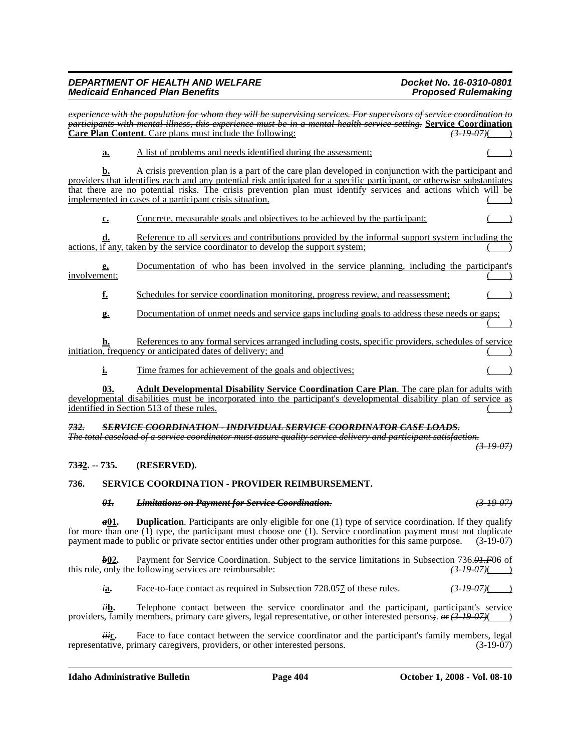*experience with the population for whom they will be supervising services. For supervisors of service coordination to participants with mental illness, this experience must be in a mental health service setting.* **Service Coordination Care Plan Content**. Care plans must include the following: *(3-19-07)*( *)* (3-19-07)

**a.** A list of problems and needs identified during the assessment;

**b.** A crisis prevention plan is a part of the care plan developed in conjunction with the participant and providers that identifies each and any potential risk anticipated for a specific participant, or otherwise substantiates that there are no potential risks. The crisis prevention plan must identify services and actions which will be implemented in cases of a participant crisis situation.

**c.** Concrete, measurable goals and objectives to be achieved by the participant;

**d.** Reference to all services and contributions provided by the informal support system including the actions, if any, taken by the service coordinator to develop the support system;

**e.** Documentation of who has been involved in the service planning, including the participant's involvement: involvement; ( ) and ( ) and ( ) and ( ) and ( ) and ( ) and ( ) and ( ) and ( ) and ( ) and ( ) and ( ) and ( ) and ( ) and ( ) and ( ) and ( ) and ( ) and ( ) and ( ) and ( ) and ( ) and ( ) and ( ) and ( ) and ( ) and (

**f.** Schedules for service coordination monitoring, progress review, and reassessment;  $($ 

**g.** Documentation of unmet needs and service gaps including goals to address these needs or gaps;  $($ 

**h.** References to any formal services arranged including costs, specific providers, schedules of service initiation, frequency or anticipated dates of delivery; and

**i.** Time frames for achievement of the goals and objectives;

**03. Adult Developmental Disability Service Coordination Care Plan**. The care plan for adults with developmental disabilities must be incorporated into the participant's developmental disability plan of service as identified in Section 513 of these rules.

#### *732. SERVICE COORDINATION - INDIVIDUAL SERVICE COORDINATOR CASE LOADS. The total caseload of a service coordinator must assure quality service delivery and participant satisfaction.*

*(3-19-07)*

# **73***3***2. -- 735. (RESERVED).**

# **736. SERVICE COORDINATION - PROVIDER REIMBURSEMENT.**

# *01. Limitations on Payment for Service Coordination. (3-19-07)*

*a***01. Duplication**. Participants are only eligible for one (1) type of service coordination. If they qualify for more than one (1) type, the participant must choose one (1). Service coordination payment must not duplicate payment made to public or private sector entities under other program authorities for this same purpose. (3-19-07)

*b***12.** Payment for Service Coordination. Subject to the service limitations in Subsection 736.04.F06 of following services are reimbursable:  $\frac{(3-19-07)(\frac{1}{2})}{(3-19-07)(\frac{1}{2})}$ this rule, only the following services are reimbursable: *(3-19-07)*( )

*i***a.** Face-to-face contact as required in Subsection 728.057 of these rules.  $\left(3-19-07\right)$  )

*ii***b.** Telephone contact between the service coordinator and the participant, participant's service providers, family members, primary care givers, legal representative, or other interested persons*;*. *or(3-19-07)*( )

Face to face contact between the service coordinator and the participant's family members, legal representative, primary caregivers, providers, or other interested persons. (3-19-07)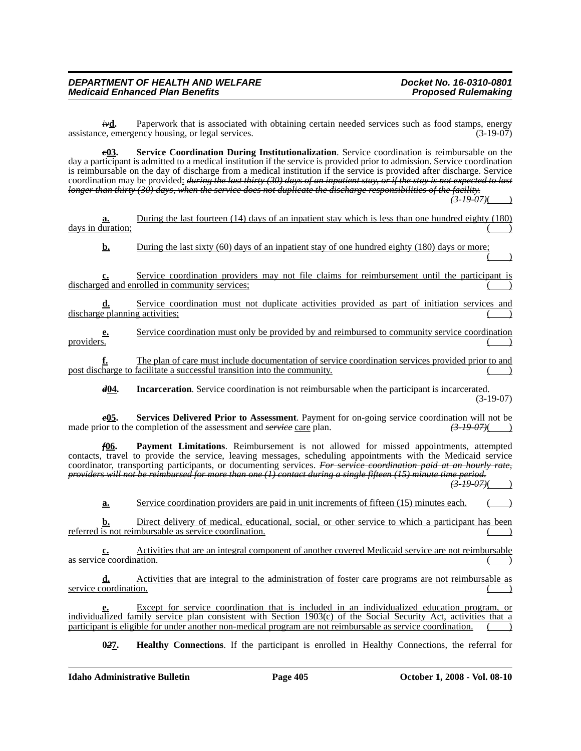*iv***d.** Paperwork that is associated with obtaining certain needed services such as food stamps, energy e. emergency housing or legal services. (3-19-07) assistance, emergency housing, or legal services.

*c***03. Service Coordination During Institutionalization**. Service coordination is reimbursable on the day a participant is admitted to a medical institution if the service is provided prior to admission. Service coordination is reimbursable on the day of discharge from a medical institution if the service is provided after discharge. Service coordination may be provided: *during the last thirty (30) days of an inpatient stay, or if the stay is not expected to last longer than thirty (30) days, when the service does not duplicate the discharge responsibilities of the facility.*

 $(3-19-07)$ 

**a.** During the last fourteen (14) days of an inpatient stay which is less than one hundred eighty (180) days in duration;

**b.** During the last sixty (60) days of an inpatient stay of one hundred eighty (180) days or more;  $($  )

**c.** Service coordination providers may not file claims for reimbursement until the participant is discharged and enrolled in community services;

**d.** Service coordination must not duplicate activities provided as part of initiation services and discharge planning activities;

**e.** Service coordination must only be provided by and reimbursed to community service coordination providers.  $($ 

**f.** The plan of care must include documentation of service coordination services provided prior to and post discharge to facilitate a successful transition into the community.

*d***04. Incarceration**. Service coordination is not reimbursable when the participant is incarcerated. (3-19-07)

*e***<u>05</u>.** Services Delivered Prior to Assessment. Payment for on-going service coordination will not be on to the completion of the assessment and *service* care plan.  $\left(3-19-07\right)$  (3.49.07) made prior to the completion of the assessment and *service* care plan.

*f***06. Payment Limitations**. Reimbursement is not allowed for missed appointments, attempted contacts, travel to provide the service, leaving messages, scheduling appointments with the Medicaid service coordinator, transporting participants, or documenting services. *For service coordination paid at an hourly rate, providers will not be reimbursed for more than one (1) contact during a single fifteen (15) minute time period.*  $(3-19-07)$ 

**a.** Service coordination providers are paid in unit increments of fifteen (15) minutes each.

**b.** Direct delivery of medical, educational, social, or other service to which a participant has been referred is not reimbursable as service coordination.

**c.** Activities that are an integral component of another covered Medicaid service are not reimbursable as service coordination.

**d.** Activities that are integral to the administration of foster care programs are not reimbursable as service coordination.

**e.** Except for service coordination that is included in an individualized education program, or individualized family service plan consistent with Section 1903(c) of the Social Security Act, activities that a participant is eligible for under another non-medical program are not reimbursable as service coordination.

**0***2***7. Healthy Connections**. If the participant is enrolled in Healthy Connections, the referral for